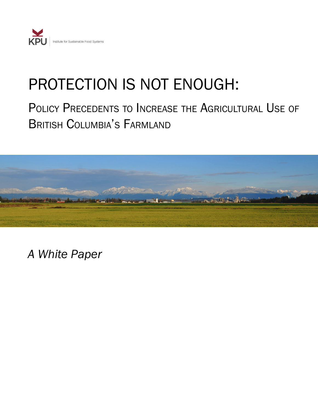

# PROTECTION IS NOT ENOUGH:

# POLICY PRECEDENTS TO INCREASE THE AGRICULTURAL USE OF British Columbia's Farmland



*A White Paper*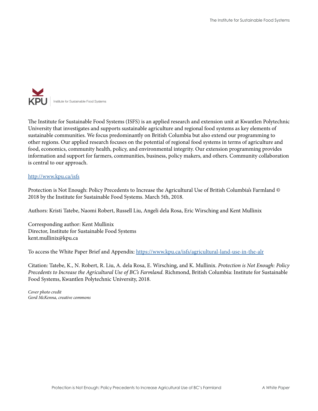

The Institute for Sustainable Food Systems (ISFS) is an applied research and extension unit at Kwantlen Polytechnic University that investigates and supports sustainable agriculture and regional food systems as key elements of sustainable communities. We focus predominantly on British Columbia but also extend our programming to other regions. Our applied research focuses on the potential of regional food systems in terms of agriculture and food, economics, community health, policy, and environmental integrity. Our extension programming provides information and support for farmers, communities, business, policy makers, and others. Community collaboration is central to our approach.

#### <http://www.kpu.ca/isfs>

Protection is Not Enough: Policy Precedents to Increase the Agricultural Use of British Columbia's Farmland © 2018 by the Institute for Sustainable Food Systems. March 5th, 2018.

Authors: Kristi Tatebe, Naomi Robert, Russell Liu, Angeli dela Rosa, Eric Wirsching and Kent Mullinix

Corresponding author: Kent Mullinix Director, Institute for Sustainable Food Systems kent.mullinix@kpu.ca

To access the White Paper Brief and Appendix: [https://www.kpu.ca/isfs/agricultural-land-use-in-the-alr](https://www.kpu.ca/isfs/agricultural-land-use-in-the-alr )

Citation: Tatebe, K., N. Robert, R. Liu, A. dela Rosa, E. Wirsching, and K. Mullinix. *Protection is Not Enough: Policy Precedents to Increase the Agricultural Use of BC's Farmland.* Richmond, British Columbia: Institute for Sustainable Food Systems, Kwantlen Polytechnic University, 2018.

*Cover photo credit Gord McKenna, creative commons*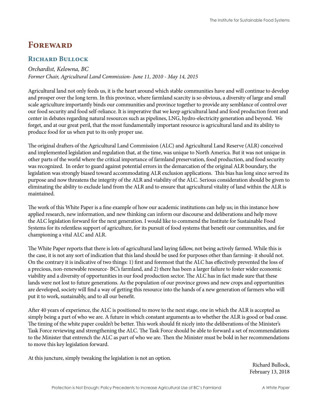# <span id="page-2-0"></span>**FOREWARD**

### **Richard Bullock**

#### *Orchardist, Kelowna, BC*

*Former Chair, Agricultural Land Commission- June 11, 2010 - May 14, 2015*

Agricultural land not only feeds us, it is the heart around which stable communities have and will continue to develop and prosper over the long term. In this province, where farmland scarcity is so obvious, a diversity of large and small scale agriculture importantly binds our communities and province together to provide any semblance of control over our food security and food self-reliance. It is imperative that we keep agricultural land and food production front and center in debates regarding natural resources such as pipelines, LNG, hydro-electricity generation and beyond. We forget, and at our great peril, that the most fundamentally important resource is agricultural land and its ability to produce food for us when put to its only proper use.

The original drafters of the Agricultural Land Commission (ALC) and Agricultural Land Reserve (ALR) conceived and implemented legislation and regulation that, at the time, was unique to North America. But it was not unique in other parts of the world where the critical importance of farmland preservation, food production, and food security was recognized. In order to guard against potential errors in the demarcation of the original ALR boundary, the legislation was strongly biased toward accommodating ALR exclusion applications. This bias has long since served its purpose and now threatens the integrity of the ALR and viability of the ALC. Serious consideration should be given to eliminating the ability to exclude land from the ALR and to ensure that agricultural vitality of land within the ALR is maintained.

The work of this White Paper is a fine example of how our academic institutions can help us; in this instance how applied research, new information, and new thinking can inform our discourse and deliberations and help move the ALC legislation forward for the next generation. I would like to commend the Institute for Sustainable Food Systems for its relentless support of agriculture, for its pursuit of food systems that benefit our communities, and for championing a vital ALC and ALR.

The White Paper reports that there is lots of agricultural land laying fallow, not being actively farmed. While this is the case, it is not any sort of indication that this land should be used for purposes other than farming- it should not. On the contrary it is indicative of two things: 1) first and foremost that the ALC has effectively prevented the loss of a precious, non-renewable resource- BC's farmland, and 2) there has been a larger failure to foster wider economic viability and a diversity of opportunities in our food production sector. The ALC has in fact made sure that these lands were not lost to future generations. As the population of our province grows and new crops and opportunities are developed, society will find a way of getting this resource into the hands of a new generation of farmers who will put it to work, sustainably, and to all our benefit.

After 40 years of experience, the ALC is positioned to move to the next stage, one in which the ALR is accepted as simply being a part of who we are. A future in which constant arguments as to whether the ALR is good or bad cease. The timing of the white paper couldn't be better. This work should fit nicely into the deliberations of the Minister's Task Force reviewing and strengthening the ALC. The Task Force should be able to forward a set of recommendations to the Minister that entrench the ALC as part of who we are. Then the Minister must be bold in her recommendations to move this key legislation forward.

At this juncture, simply tweaking the legislation is not an option.

Richard Bullock, February 13, 2018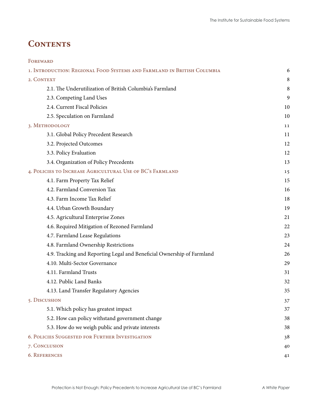# **CONTENTS**

| FOREWARD                                                                |    |
|-------------------------------------------------------------------------|----|
| 1. INTRODUCTION: REGIONAL FOOD SYSTEMS AND FARMLAND IN BRITISH COLUMBIA | 6  |
| 2. CONTEXT                                                              | 8  |
| 2.1. The Underutilization of British Columbia's Farmland                | 8  |
| 2.3. Competing Land Uses                                                | 9  |
| 2.4. Current Fiscal Policies                                            | 10 |
| 2.5. Speculation on Farmland                                            | 10 |
| 3. METHODOLOGY                                                          | 11 |
| 3.1. Global Policy Precedent Research                                   | 11 |
| 3.2. Projected Outcomes                                                 | 12 |
| 3.3. Policy Evaluation                                                  | 12 |
| 3.4. Organization of Policy Precedents                                  | 13 |
| 4. POLICIES TO INCREASE AGRICULTURAL USE OF BC'S FARMLAND               | 15 |
| 4.1. Farm Property Tax Relief                                           | 15 |
| 4.2. Farmland Conversion Tax                                            | 16 |
| 4.3. Farm Income Tax Relief                                             | 18 |
| 4.4. Urban Growth Boundary                                              | 19 |
| 4.5. Agricultural Enterprise Zones                                      | 21 |
| 4.6. Required Mitigation of Rezoned Farmland                            | 22 |
| 4.7. Farmland Lease Regulations                                         | 23 |
| 4.8. Farmland Ownership Restrictions                                    | 24 |
| 4.9. Tracking and Reporting Legal and Beneficial Ownership of Farmland  | 26 |
| 4.10. Multi-Sector Governance                                           | 29 |
| 4.11. Farmland Trusts                                                   | 31 |
| 4.12. Public Land Banks                                                 | 32 |
| 4.13. Land Transfer Regulatory Agencies                                 | 35 |
| 5. DISCUSSION                                                           | 37 |
| 5.1. Which policy has greatest impact                                   | 37 |
| 5.2. How can policy withstand government change                         | 38 |
| 5.3. How do we weigh public and private interests                       | 38 |
| 6. POLICIES SUGGESTED FOR FURTHER INVESTIGATION                         | 38 |
| 7. CONCLUSION                                                           | 40 |
| <b>6. REFERENCES</b>                                                    | 41 |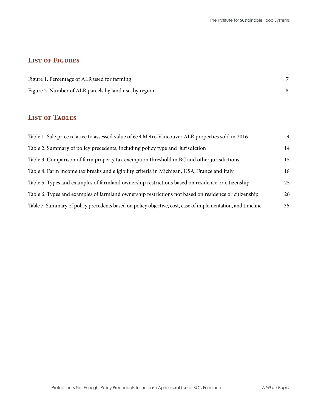# **List of Figures**

| Figure 1. Percentage of ALR used for farming           |  |
|--------------------------------------------------------|--|
| Figure 2. Number of ALR parcels by land use, by region |  |

# **List of Tables**

| Table 1. Sale price relative to assessed value of 679 Metro Vancouver ALR properties sold in 2016           | 9  |
|-------------------------------------------------------------------------------------------------------------|----|
| Table 2. Summary of policy precedents, including policy type and jurisdiction                               | 14 |
| Table 3. Comparison of farm property tax exemption threshold in BC and other jurisdictions                  | 15 |
| Table 4. Farm income tax breaks and eligibility criteria in Michigan, USA, France and Italy                 | 18 |
| Table 5. Types and examples of farmland ownership restrictions based on residence or citizenship            | 25 |
| Table 6. Types and examples of farmland ownership restrictions not based on residence or citizenship        | 26 |
| Table 7. Summary of policy precedents based on policy objective, cost, ease of implementation, and timeline | 36 |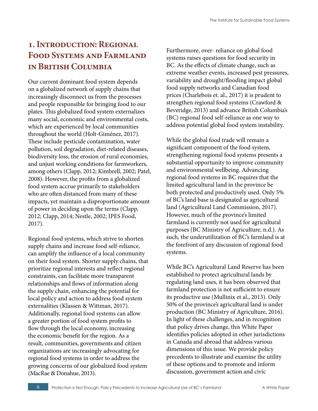# <span id="page-5-0"></span>**1. Introduction: Regional Food Systems and Farmland in British Columbia**

Our current dominant food system depends on a globalized network of supply chains that increasingly disconnect us from the processes and people responsible for bringing food to our plates. This globalized food system externalizes many social, economic and environmental costs, which are experienced by local communities throughout the world (Holt-Giménez, 2017). These include pesticide contamination, water pollution, soil degradation, diet-related diseases, biodiversity loss, the erosion of rural economies, and unjust working conditions for farmworkers, among others (Clapp, 2012; Kimbrell, 2002; Patel, 2008). However, the profits from a globalized food system accrue primarily to stakeholders who are often distanced from many of these impacts, yet maintain a disproportionate amount of power in deciding upon the terms (Clapp, 2012; Clapp, 2014; Nestle, 2002; IPES Food, 2017).

Regional food systems, which strive to shorten supply chains and increase food self-reliance, can amplify the influence of a local community on their food system. Shorter supply chains, that prioritize regional interests and reflect regional constraints, can facilitate more transparent relationships and flows of information along the supply chain, enhancing the potential for local policy and action to address food system externalities (Klassen & Wittman, 2017). Additionally, regional food systems can allow a greater portion of food system profits to flow through the local economy, increasing the economic benefit for the region. As a result, communities, governments and citizen organizations are increasingly advocating for regional food systems in order to address the growing concerns of our globalized food system (MacRae & Donahue, 2013).

Furthermore, over- reliance on global food systems raises questions for food security in BC. As the effects of climate change, such as extreme weather events, increased pest pressures, variability and drought/flooding impact global food supply networks and Canadian food prices (Charlebois et. al., 2017) it is prudent to strengthen regional food systems (Crawford & Beveridge, 2013) and advance British Columbia's (BC) regional food self-reliance as one way to address potential global food system instability.

While the global food trade will remain a significant component of the food system, strengthening regional food systems presents a substantial opportunity to improve community and environmental wellbeing. Advancing regional food systems in BC requires that the limited agricultural land in the province be both protected and productively used. Only 5% of BC's land base is designated as agricultural land (Agricultural Land Commission, 2017). However, much of the province's limited farmland is currently not used for agricultural purposes (BC Ministry of Agriculture, n.d.). As such, the underutilization of BC's farmland is at the forefront of any discussion of regional food systems.

While BC's Agricultural Land Reserve has been established to protect agricultural lands by regulating land uses, it has been observed that farmland protection is not sufficient to ensure its productive use (Mullinix et al., 2013). Only 50% of the province's agricultural land is under production (BC Ministry of Agriculture, 2016). In light of these challenges, and in recognition that policy drives change, this White Paper identifies policies adopted in other jurisdictions in Canada and abroad that address various dimensions of this issue. We provide policy precedents to illustrate and examine the utility of these options and to promote and inform discussion, government action and civic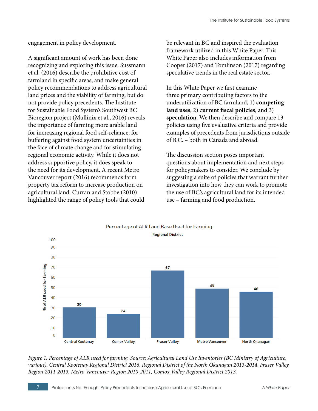engagement in policy development.

A significant amount of work has been done recognizing and exploring this issue. Sussmann et al. (2016) describe the prohibitive cost of farmland in specific areas, and make general policy recommendations to address agricultural land prices and the viability of farming, but do not provide policy precedents. The Institute for Sustainable Food System's Southwest BC Bioregion project (Mullinix et al., 2016) reveals the importance of farming more arable land for increasing regional food self-reliance, for buffering against food system uncertainties in the face of climate change and for stimulating regional economic activity. While it does not address supportive policy, it does speak to the need for its development. A recent Metro Vancouver report (2016) recommends farm property tax reform to increase production on agricultural land. Curran and Stobbe (2010) highlighted the range of policy tools that could

be relevant in BC and inspired the evaluation framework utilized in this White Paper. This White Paper also includes information from Cooper (2017) and Tomlinson (2017) regarding speculative trends in the real estate sector.

In this White Paper we first examine three primary contributing factors to the underutilization of BC farmland, 1) **competing land uses**, 2) c**urrent fiscal policies**, and 3) **speculation**. We then describe and compare 13 policies using five evaluative criteria and provide examples of precedents from jurisdictions outside of B.C. – both in Canada and abroad.

The discussion section poses important questions about implementation and next steps for policymakers to consider. We conclude by suggesting a suite of policies that warrant further investigation into how they can work to promote the use of BC's agricultural land for its intended use – farming and food production.



*Figure 1. Percentage of ALR used for farming. Source: Agricultural Land Use Inventories (BC Ministry of Agriculture, various). Central Kootenay Regional District 2016, Regional District of the North Okanagan 2013-2014, Fraser Valley Region 2011-2013, Metro Vancouver Region 2010-2011, Comox Valley Regional District 2013.*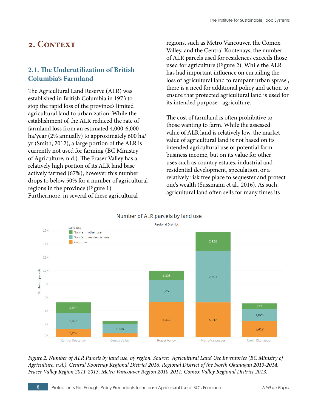# <span id="page-7-0"></span>2. CONTEXT

# **2.1. The Underutilization of British Columbia's Farmland**

The Agricultural Land Reserve (ALR) was established in British Columbia in 1973 to stop the rapid loss of the province's limited agricultural land to urbanization. While the establishment of the ALR reduced the rate of farmland loss from an estimated 4,000-6,000 ha/year (2% annually) to approximately 600 ha/ yr (Smith, 2012), a large portion of the ALR is currently not used for farming (BC Ministry of Agriculture, n.d.). The Fraser Valley has a relatively high portion of its ALR land base actively farmed (67%), however this number drops to below 50% for a number of agricultural regions in the province (Figure 1). Furthermore, in several of these agricultural

regions, such as Metro Vancouver, the Comox Valley, and the Central Kootenays, the number of ALR parcels used for residences exceeds those used for agriculture (Figure 2). While the ALR has had important influence on curtailing the loss of agricultural land to rampant urban sprawl, there is a need for additional policy and action to ensure that protected agricultural land is used for its intended purpose - agriculture.

The cost of farmland is often prohibitive to those wanting to farm. While the assessed value of ALR land is relatively low, the market value of agricultural land is not based on its intended agricultural use or potential farm business income, but on its value for other uses such as country estates, industrial and residential development, speculation, or a relatively risk free place to sequester and protect one's wealth (Sussmann et al., 2016). As such, agricultural land often sells for many times its





*Figure 2. Number of ALR Parcels by land use, by region. Source: Agricultural Land Use Inventories (BC Ministry of Agriculture, n.d.). Central Kootenay Regional District 2016, Regional District of the North Okanagan 2013-2014, Fraser Valley Region 2011-2013, Metro Vancouver Region 2010-2011, Comox Valley Regional District 2013.*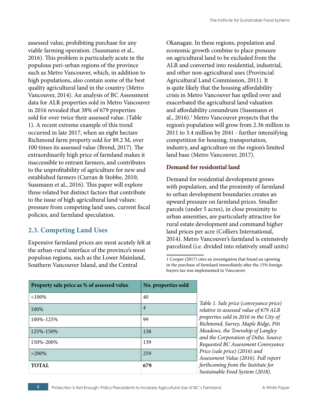<span id="page-8-0"></span>assessed value, prohibiting purchase for any viable farming operation. (Sussmann et al., 2016). This problem is particularly acute in the populous peri-urban regions of the province such as Metro Vancouver, which, in addition to high populations, also contain some of the best quality agricultural land in the country (Metro Vancouver, 2014). An analysis of BC Assessment data for ALR properties sold in Metro Vancouver in 2016 revealed that 38% of 679 properties sold for over twice their assessed value. (Table 1). A recent extreme example of this trend occurred in late 2017, when an eight hectare Richmond farm property sold for \$9.2 M, over 100 times its assessed value (Brend, 2017). The extraordinarily high price of farmland makes it inaccessible to entrant farmers, and contributes to the unprofitability of agriculture for new and established farmers (Curran & Stobbe, 2010; Sussmann et al., 2016). This paper will explore three related but distinct factors that contribute to the issue of high agricultural land values: pressure from competing land uses, current fiscal policies, and farmland speculation.

# **2.3. Competing Land Uses**

Expensive farmland prices are most acutely felt at the urban-rural interface of the province's most populous regions, such as the Lower Mainland, Southern Vancouver Island, and the Central

Okanagan. In these regions, population and economic growth combine to place pressure on agricultural land to be excluded from the ALR and converted into residential, industrial, and other non-agricultural uses (Provincial Agricultural Land Commission, 2011). It is quite likely that the housing affordability crisis in Metro Vancouver has spilled over and exacerbated the agricultural land valuation and affordability conundrum (Sussmann et al., 2016).<sup>1</sup> Metro Vancouver projects that the region's population will grow from 2.36 million in 2011 to 3.4 million by 2041 - further intensifying competition for housing, transportation, industry, and agriculture on the region's limited land base (Metro Vancouver, 2017).

#### **Demand for residential land**

Demand for residential development grows with population, and the proximity of farmland to urban development boundaries creates an upward pressure on farmland prices. Smaller parcels (under 5 acres), in close proximity to urban amenities, are particularly attractive for rural estate development and command higher land prices per acre (Colliers International, 2014). Metro Vancouver's farmland is extensively parcelized (i.e. divided into relatively small units)

<sup>1</sup> Cooper (2017) cites an investigation that found an upswing in the purchase of farmland immediately after the 15% foreign buyers tax was implemented in Vancouver.

| Property sale price as % of assessed value | No. properties sold |
|--------------------------------------------|---------------------|
| <100%                                      | 40                  |
| 100%                                       | $\overline{4}$      |
| 100%-125%                                  | 99                  |
| 125%-150%                                  | 138                 |
| 150%-200%                                  | 139                 |
| $>200\%$                                   | 259                 |
| <b>TOTAL</b>                               | 679                 |

*Table 1. Sale price (conveyance price) relative to assessed value of 679 ALR properties sold in 2016 in the City of Richmond, Surrey, Maple Ridge, Pitt Meadows, the Township of Langley and the Corporation of Delta. Source: Requested BC Assessment Conveyance Price (sale price) (2016) and Assessment Value (2016). Full report forthcoming from the Institute for Sustainable Food System (2018).*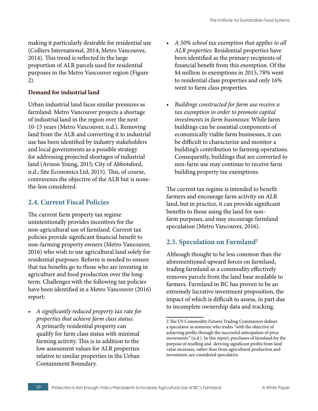<span id="page-9-0"></span>making it particularly desirable for residential use (Colliers International, 2014; Metro Vancouver, 2014). This trend is reflected in the large proportion of ALR parcels used for residential purposes in the Metro Vancouver region (Figure 2).

#### **Demand for industrial land**

Urban industrial land faces similar pressures as farmland. Metro Vancouver projects a shortage of industrial land in the region over the next 10-15 years (Metro Vancouver, n.d.). Removing land from the ALR and converting it to industrial use has been identified by industry stakeholders and local governments as a possible strategy for addressing projected shortages of industrial land (Avison Young, 2015; City of Abbotsford, n.d.; Site Economics Ltd, 2015). This, of course, contravenes the objective of the ALR but is nonethe-less considered.

### **2.4. Current Fiscal Policies**

The current farm property tax regime unintentionally provides incentives for the non-agricultural use of farmland. Current tax policies provide significant financial benefit to non-farming property owners (Metro Vancouver, 2016) who wish to use agricultural land solely for residential purposes. Reform is needed to ensure that tax benefits go to those who are investing in agriculture and food production over the longterm. Challenges with the following tax policies have been identified in a Metro Vancouver (2016) report:

*• A significantly reduced property tax rate for properties that achieve farm class status:* A primarily residential property can qualify for farm class status with minimal farming activity. This is in addition to the low assessment values for ALR properties relative to similar properties in the Urban Containment Boundary.

- *• A 50% school tax exemption that applies to all ALR properties:* Residential properties have been identified as the primary recipients of financial benefit from this exemption. Of the \$4 million in exemptions in 2015, 78% went to residential class properties and only 16% went to farm class properties.
- *• Buildings constructed for farm use receive a tax exemption in order to promote capital investments in farm businesses*: While farm buildings can be essential components of economically viable farm businesses, it can be difficult to characterize and monitor a building's contribution to farming operations. Consequently, buildings that are converted to non-farm use may continue to receive farm building property tax exemptions.

The current tax regime is intended to benefit farmers and encourage farm activity on ALR land, but in practice, it can provide significant benefits to those using the land for nonfarm purposes, and may encourage farmland speculation (Metro Vancouver, 2016).

### **2.5. Speculation on Farmland2**

Although thought to be less common than the aforementioned upward forces on farmland, trading farmland as a commodity effectively removes parcels from the land base available to farmers. Farmland in BC has proven to be an extremely lucrative investment proposition, the impact of which is difficult to assess, in part due to incomplete ownership data and tracking.

<sup>2</sup> The US Commodity Futures Trading Commission defines a speculator as someone who trades "with the objective of achieving profits through the successful anticipation of price movements." (n.d.). In this report, purchases of farmland for the purpose of reselling and deriving significant profits from land value increases, rather than from agricultural production and investment, are considered speculative.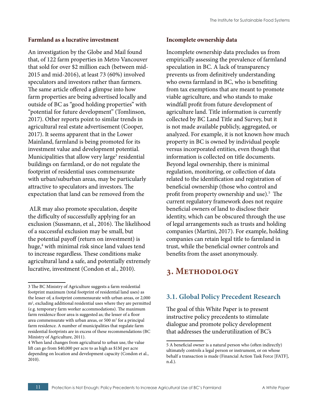#### <span id="page-10-0"></span>**Farmland as a lucrative investment**

An investigation by the Globe and Mail found that, of 122 farm properties in Metro Vancouver that sold for over \$2 million each (between mid-2015 and mid-2016), at least 73 (60%) involved speculators and investors rather than farmers. The same article offered a glimpse into how farm properties are being advertised locally and outside of BC as "good holding properties" with "potential for future development" (Tomlinson, 2017). Other reports point to similar trends in agricultural real estate advertisement (Cooper, 2017). It seems apparent that in the Lower Mainland, farmland is being promoted for its investment value and development potential. Municipalities that allow very large<sup>3</sup> residential buildings on farmland, or do not regulate the footprint of residential uses commensurate with urban/suburban areas, may be particularly attractive to speculators and investors. The expectation that land can be removed from the

 ALR may also promote speculation, despite the difficulty of successfully applying for an exclusion (Sussmann, et al., 2016). The likelihood of a successful exclusion may be small, but the potential payoff (return on investment) is huge,<sup>4</sup> with minimal risk since land values tend to increase regardless. These conditions make agricultural land a safe, and potentially extremely lucrative, investment (Condon et al., 2010).

#### **Incomplete ownership data**

Incomplete ownership data precludes us from empirically assessing the prevalence of farmland speculation in BC. A lack of transparency prevents us from definitively understanding who owns farmland in BC, who is benefiting from tax exemptions that are meant to promote viable agriculture, and who stands to make windfall profit from future development of agriculture land. Title information is currently collected by BC Land Title and Survey, but it is not made available publicly, aggregated, or analyzed. For example, it is not known how much property in BC is owned by individual people versus incorporated entities, even though that information is collected on title documents. Beyond legal ownership, there is minimal regulation, monitoring, or collection of data related to the identification and registration of beneficial ownership (those who control and profit from property ownership and use).5 The current regulatory framework does not require beneficial owners of land to disclose their identity, which can be obscured through the use of legal arrangements such as trusts and holding companies (Martini, 2017). For example, holding companies can retain legal title to farmland in trust, while the beneficial owner controls and benefits from the asset anonymously.

# **3. Methodology**

# **3.1. Global Policy Precedent Research**

The goal of this White Paper is to present instructive policy precedents to stimulate dialogue and promote policy development that addresses the underutilization of BC's

<sup>3</sup> The BC Ministry of Agriculture suggests a farm residential footprint maximum (total footprint of residential land uses) as the lesser of; a footprint commensurate with urban areas, or 2,000 m<sup>2</sup>, excluding additional residential uses where they are permitted (e.g. temporary farm worker accommodations). The maximum farm residence floor area is suggested as; the lesser of a floor area commensurate with urban areas, or  $500 \text{ m}^2$  for a principal farm residence. A number of municipalities that regulate farm residential footprints are in excess of these recommendations (BC Ministry of Agriculture, 2011).

<sup>4</sup> When land changes from agricultural to urban use, the value lift can go from \$40,000 per acre to as high as \$1M per acre depending on location and development capacity (Condon et al., 2010).

<sup>5</sup> A beneficial owner is a natural person who (often indirectly) ultimately controls a legal person or instrument, or on whose behalf a transaction is made (Financial Action Task Force [FATF], n.d.).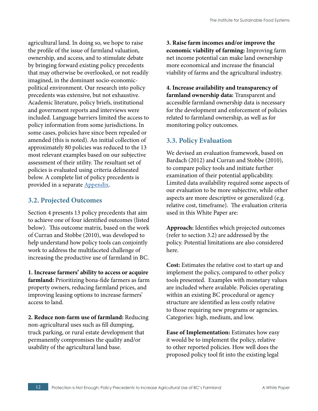<span id="page-11-0"></span>agricultural land. In doing so, we hope to raise the profile of the issue of farmland valuation, ownership, and access, and to stimulate debate by bringing forward existing policy precedents that may otherwise be overlooked, or not readily imagined, in the dominant socio-economicpolitical environment. Our research into policy precedents was extensive, but not exhaustive. Academic literature, policy briefs, institutional and government reports and interviews were included. Language barriers limited the access to policy information from some jurisdictions. In some cases, policies have since been repealed or amended (this is noted). An initial collection of approximately 80 policies was reduced to the 13 most relevant examples based on our subjective assessment of their utility. The resultant set of policies is evaluated using criteria delineated below. A complete list of policy precedents is provided in a separate [Appendix](https://www.kpu.ca/isfs/agricultural-land-use-in-the-alr).

# **3.2. Projected Outcomes**

Section 4 presents 13 policy precedents that aim to achieve one of four identified outcomes (listed below). This outcome matrix, based on the work of Curran and Stobbe (2010), was developed to help understand how policy tools can conjointly work to address the multifaceted challenge of increasing the productive use of farmland in BC.

**1. Increase farmers' ability to access or acquire farmland:** Prioritizing bona-fide farmers as farm property owners, reducing farmland prices, and improving leasing options to increase farmers' access to land.

**2. Reduce non-farm use of farmland:** Reducing non-agricultural uses such as fill dumping, truck parking, or rural estate development that permanently compromises the quality and/or usability of the agricultural land base.

**3. Raise farm incomes and/or improve the economic viability of farming:** Improving farm net income potential can make land ownership more economical and increase the financial viability of farms and the agricultural industry.

**4. Increase availability and transparency of farmland ownership data:** Transparent and accessible farmland ownership data is necessary for the development and enforcement of policies related to farmland ownership, as well as for monitoring policy outcomes.

# **3.3. Policy Evaluation**

We devised an evaluation framework, based on Bardach (2012) and Curran and Stobbe (2010), to compare policy tools and initiate further examination of their potential applicability. Limited data availability required some aspects of our evaluation to be more subjective, while other aspects are more descriptive or generalized (e.g. relative cost, timeframe). The evaluation criteria used in this White Paper are:

**Approach:** Identifies which projected outcomes (refer to section 3.2) are addressed by the policy. Potential limitations are also considered here.

**Cost:** Estimates the relative cost to start up and implement the policy, compared to other policy tools presented. Examples with monetary values are included where available. Policies operating within an existing BC procedural or agency structure are identified as less costly relative to those requiring new programs or agencies. Categories: high, medium, and low.

**Ease of Implementation:** Estimates how easy it would be to implement the policy, relative to other reported policies. How well does the proposed policy tool fit into the existing legal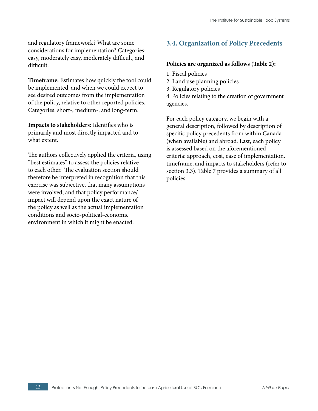<span id="page-12-0"></span>and regulatory framework? What are some considerations for implementation? Categories: easy, moderately easy, moderately difficult, and difficult.

**Timeframe:** Estimates how quickly the tool could be implemented, and when we could expect to see desired outcomes from the implementation of the policy, relative to other reported policies. Categories: short-, medium-, and long-term.

**Impacts to stakeholders:** Identifies who is primarily and most directly impacted and to what extent.

The authors collectively applied the criteria, using "best estimates" to assess the policies relative to each other. The evaluation section should therefore be interpreted in recognition that this exercise was subjective, that many assumptions were involved, and that policy performance/ impact will depend upon the exact nature of the policy as well as the actual implementation conditions and socio-political-economic environment in which it might be enacted.

# **3.4. Organization of Policy Precedents**

#### **Policies are organized as follows (Table 2):**

- 1. Fiscal policies
- 2. Land use planning policies
- 3. Regulatory policies
- 4. Policies relating to the creation of government agencies.

For each policy category, we begin with a general description, followed by description of specific policy precedents from within Canada (when available) and abroad. Last, each policy is assessed based on the aforementioned criteria: approach, cost, ease of implementation, timeframe, and impacts to stakeholders (refer to section 3.3). Table 7 provides a summary of all policies.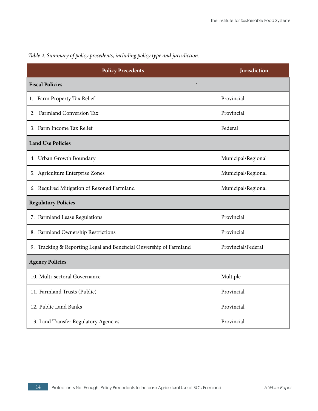| <b>Policy Precedents</b>                                           | Jurisdiction       |  |  |
|--------------------------------------------------------------------|--------------------|--|--|
| <b>Fiscal Policies</b>                                             |                    |  |  |
| 1. Farm Property Tax Relief                                        | Provincial         |  |  |
| 2. Farmland Conversion Tax                                         | Provincial         |  |  |
| 3. Farm Income Tax Relief                                          | Federal            |  |  |
| <b>Land Use Policies</b>                                           |                    |  |  |
| 4. Urban Growth Boundary                                           | Municipal/Regional |  |  |
| 5. Agriculture Enterprise Zones                                    | Municipal/Regional |  |  |
| 6. Required Mitigation of Rezoned Farmland                         | Municipal/Regional |  |  |
| <b>Regulatory Policies</b>                                         |                    |  |  |
| 7. Farmland Lease Regulations                                      | Provincial         |  |  |
| 8. Farmland Ownership Restrictions                                 | Provincial         |  |  |
| 9. Tracking & Reporting Legal and Beneficial Onwership of Farmland | Provincial/Federal |  |  |
| <b>Agency Policies</b>                                             |                    |  |  |
| 10. Multi-sectoral Governance                                      | Multiple           |  |  |
| 11. Farmland Trusts (Public)                                       | Provincial         |  |  |
| 12. Public Land Banks                                              | Provincial         |  |  |
| 13. Land Transfer Regulatory Agencies                              | Provincial         |  |  |

## *Table 2. Summary of policy precedents, including policy type and jurisdiction.*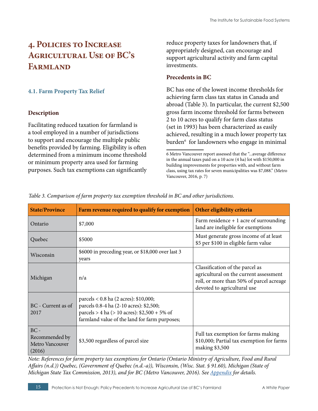# <span id="page-14-0"></span>**4. Policies to Increase Agricultural Use of BC's Farmland**

#### **4.1. Farm Property Tax Relief**

#### **Description**

Facilitating reduced taxation for farmland is a tool employed in a number of jurisdictions to support and encourage the multiple public benefits provided by farming. Eligibility is often determined from a minimum income threshold or minimum property area used for farming purposes. Such tax exemptions can significantly

reduce property taxes for landowners that, if appropriately designed, can encourage and support agricultural activity and farm capital investments.

#### **Precedents in BC**

BC has one of the lowest income thresholds for achieving farm class tax status in Canada and abroad (Table 3). In particular, the current \$2,500 gross farm income threshold for farms between 2 to 10 acres to qualify for farm class status (set in 1993) has been characterized as easily achieved, resulting in a much lower property tax burden6 for landowners who engage in minimal

| <b>State/Province</b>                                 | Farm revenue required to qualify for exemption                                                                                                                                      | Other eligibility criteria                                                                                                                           |
|-------------------------------------------------------|-------------------------------------------------------------------------------------------------------------------------------------------------------------------------------------|------------------------------------------------------------------------------------------------------------------------------------------------------|
| Ontario                                               | \$7,000                                                                                                                                                                             | Farm residence $+1$ acre of surrounding<br>land are ineligible for exemptions                                                                        |
| Quebec                                                | \$5000                                                                                                                                                                              | Must generate gross income of at least<br>\$5 per \$100 in eligible farm value                                                                       |
| Wisconsin                                             | \$6000 in preceding year, or \$18,000 over last 3<br>years                                                                                                                          |                                                                                                                                                      |
| Michigan                                              | n/a                                                                                                                                                                                 | Classification of the parcel as<br>agricultural on the current assessment<br>roll, or more than 50% of parcel acreage<br>devoted to agricultural use |
| BC - Current as of<br>2017                            | parcels < 0.8 ha (2 acres): \$10,000;<br>parcels 0.8-4 ha (2-10 acres): \$2,500;<br>parcels > 4 ha (> 10 acres): $$2,500 + 5\%$ of<br>farmland value of the land for farm purposes; |                                                                                                                                                      |
| $BC -$<br>Recommended by<br>Metro Vancouver<br>(2016) | \$3,500 regardless of parcel size                                                                                                                                                   | Full tax exemption for farms making<br>\$10,000; Partial tax exemption for farms<br>making \$3,500                                                   |

*Table 3. Comparison of farm property tax exemption threshold in BC and other jurisdictions.* 

*Note: References for farm property tax exemptions for Ontario (Ontario Ministry of Agriculture, Food and Rural Affairs (n.d.)) Quebec, (Government of Quebec (n.d.-a)), Wisconsin, (Wisc. Stat. § 91.60), Michigan (State of Michigan State Tax Commission, 2013), and for BC (Metro Vancouver, 2016). See [Appendix](https://www.kpu.ca/isfs/agricultural-land-use-in-the-alr) for details.*

<sup>6</sup> Metro Vancouver report assessed that the "...average difference in the annual taxes paid on a 10 acre (4 ha) lot with \$150,000 in building improvements for properties with, and without farm class, using tax rates for seven municipalities was \$7,088." (Metro Vancouver, 2016, p. 7)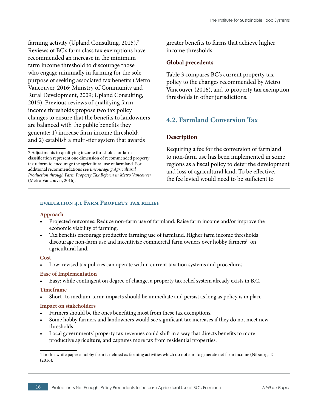<span id="page-15-0"></span>farming activity (Upland Consulting, 2015).<sup>7</sup> Reviews of BC's farm class tax exemptions have recommended an increase in the minimum farm income threshold to discourage those who engage minimally in farming for the sole purpose of seeking associated tax benefits (Metro Vancouver, 2016; Ministry of Community and Rural Development, 2009; Upland Consulting, 2015). Previous reviews of qualifying farm income thresholds propose two tax policy changes to ensure that the benefits to landowners are balanced with the public benefits they generate: 1) increase farm income threshold; and 2) establish a multi-tier system that awards

greater benefits to farms that achieve higher income thresholds.

#### **Global precedents**

Table 3 compares BC's current property tax policy to the changes recommended by Metro Vancouver (2016), and to property tax exemption thresholds in other jurisdictions.

# **4.2. Farmland Conversion Tax**

#### **Description**

Requiring a fee for the conversion of farmland to non-farm use has been implemented in some regions as a fiscal policy to deter the development and loss of agricultural land. To be effective, the fee levied would need to be sufficient to

#### **evaluation 4.1 Farm Property tax relief**

#### **Approach**

- Projected outcomes: Reduce non-farm use of farmland. Raise farm income and/or improve the economic viability of farming.
- Tax benefits encourage productive farming use of farmland. Higher farm income thresholds discourage non-farm use and incentivize commercial farm owners over hobby farmers<sup>1</sup> on agricultural land.

#### **Cost**

Low: revised tax policies can operate within current taxation systems and procedures.

#### **Ease of Implementation**

• Easy: while contingent on degree of change, a property tax relief system already exists in B.C.

#### **Timeframe**

• Short- to medium-term: impacts should be immediate and persist as long as policy is in place.

#### **Impact on stakeholders**

- Farmers should be the ones benefiting most from these tax exemptions.
- Some hobby farmers and landowners would see significant tax increases if they do not meet new thresholds.
- Local governments' property tax revenues could shift in a way that directs benefits to more productive agriculture, and captures more tax from residential properties.

1 In this white paper a hobby farm is defined as farming activities which do not aim to generate net farm income (Nibourg, T. (2016).

<sup>7</sup> Adjustments to qualifying income thresholds for farm classification represent one dimension of recommended property tax reform to encourage the agricultural use of farmland. For additional recommendations see *Encouraging Agricultural Production through Farm Property Tax Reform in Metro Vancouver* (Metro Vancouver, 2016).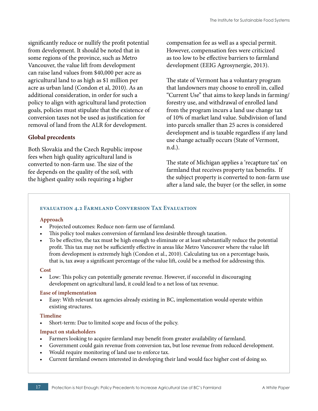significantly reduce or nullify the profit potential from development. It should be noted that in some regions of the province, such as Metro Vancouver, the value lift from development can raise land values from \$40,000 per acre as agricultural land to as high as \$1 million per acre as urban land (Condon et al, 2010). As an additional consideration, in order for such a policy to align with agricultural land protection goals, policies must stipulate that the existence of conversion taxes not be used as justification for removal of land from the ALR for development.

#### **Global precedents**

Both Slovakia and the Czech Republic impose fees when high quality agricultural land is converted to non-farm use. The size of the fee depends on the quality of the soil, with the highest quality soils requiring a higher

compensation fee as well as a special permit. However, compensation fees were criticized as too low to be effective barriers to farmland development (EEIG Agrosynergie, 2013).

The state of Vermont has a voluntary program that landowners may choose to enroll in, called "Current Use" that aims to keep lands in farming/ forestry use, and withdrawal of enrolled land from the program incurs a land use change tax of 10% of market land value. Subdivision of land into parcels smaller than 25 acres is considered development and is taxable regardless if any land use change actually occurs (State of Vermont, n.d.).

The state of Michigan applies a 'recapture tax' on farmland that receives property tax benefits. If the subject property is converted to non-farm use after a land sale, the buyer (or the seller, in some

#### **evaluation 4.2 Farmland Conversion Tax Evaluation**

#### **Approach**

- Projected outcomes: Reduce non-farm use of farmland.
- This policy tool makes conversion of farmland less desirable through taxation.
- To be effective, the tax must be high enough to eliminate or at least substantially reduce the potential profit. This tax may not be sufficiently effective in areas like Metro Vancouver where the value lift from development is extremely high (Condon et al., 2010). Calculating tax on a percentage basis, that is, tax away a significant percentage of the value lift, could be a method for addressing this.

#### **Cost**

• Low: This policy can potentially generate revenue. However, if successful in discouraging development on agricultural land, it could lead to a net loss of tax revenue.

#### **Ease of implementation**

• Easy: With relevant tax agencies already existing in BC, implementation would operate within existing structures.

#### **Timeline**

Short-term: Due to limited scope and focus of the policy.

- Farmers looking to acquire farmland may benefit from greater availability of farmland.
- Government could gain revenue from conversion tax, but lose revenue from reduced development.
- Would require monitoring of land use to enforce tax.
- Current farmland owners interested in developing their land would face higher cost of doing so.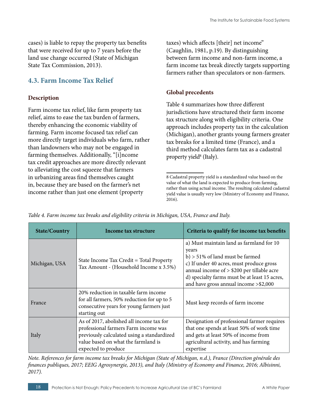<span id="page-17-0"></span>cases) is liable to repay the property tax benefits that were received for up to 7 years before the land use change occurred (State of Michigan State Tax Commission, 2013).

## **4.3. Farm Income Tax Relief**

#### **Description**

Farm income tax relief, like farm property tax relief, aims to ease the tax burden of farmers, thereby enhancing the economic viability of farming. Farm income focused tax relief can more directly target individuals who farm, rather than landowners who may not be engaged in farming themselves. Additionally, "[i]ncome tax credit approaches are more directly relevant to alleviating the cost squeeze that farmers in urbanizing areas find themselves caught in, because they are based on the farmer's net income rather than just one element (property

taxes) which affects [their] net income" (Caughlin, 1981, p.19). By distinguishing between farm income and non-farm income, a farm income tax break directly targets supporting farmers rather than speculators or non-farmers.

#### **Global precedents**

Table 4 summarizes how three different jurisdictions have structured their farm income tax structure along with eligibility criteria. One approach includes property tax in the calculation (Michigan), another grants young farmers greater tax breaks for a limited time (France), and a third method calculates farm tax as a cadastral property yield<sup>8</sup> (Italy).

<sup>8</sup> Cadastral property yield is a standardized value based on the value of what the land is expected to produce from farming, rather than using actual income. The resulting calculated cadastral yield value is usually very low (Ministry of Economy and Finance, 2016).

| <b>State/Country</b>                                                                                | Income tax structure                                                                                                                                                                         | Criteria to qualify for income tax benefits                                                                                                                                                                                                                                 |  |
|-----------------------------------------------------------------------------------------------------|----------------------------------------------------------------------------------------------------------------------------------------------------------------------------------------------|-----------------------------------------------------------------------------------------------------------------------------------------------------------------------------------------------------------------------------------------------------------------------------|--|
| State Income Tax Credit = Total Property<br>Michigan, USA<br>Tax Amount - (Household Income x 3.5%) |                                                                                                                                                                                              | a) Must maintain land as farmland for 10<br>years<br>$b$ ) > 51% of land must be farmed<br>c) If under 40 acres, must produce gross<br>annual income of > \$200 per tillable acre<br>d) specialty farms must be at least 15 acres,<br>and have gross annual income >\$2,000 |  |
| France                                                                                              | 20% reduction in taxable farm income<br>for all farmers, 50% reduction for up to 5<br>consecutive years for young farmers just<br>starting out                                               | Must keep records of farm income                                                                                                                                                                                                                                            |  |
| Italy                                                                                               | As of 2017, abolished all income tax for<br>professional farmers Farm income was<br>previously calculated using a standardized<br>value based on what the farmland is<br>expected to produce | Designation of professional farmer requires<br>that one spends at least 50% of work time<br>and gets at least 50% of income from<br>agricultural activity, and has farming<br>expertise                                                                                     |  |

*Table 4. Farm income tax breaks and eligibility criteria in Michigan, USA, France and Italy.*

*Note. References for farm income tax breaks for Michigan (State of Michigan, n.d.), France (Direction générale des finances publiques, 2017; EEIG Agrosynergie, 2013), and Italy (Ministry of Economy and Finance, 2016; Albisinni, 2017).*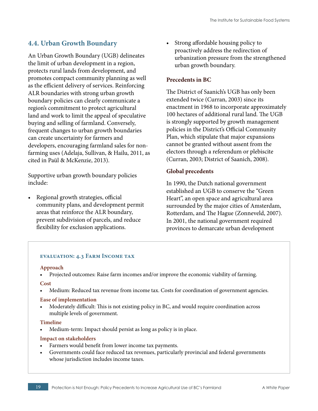### <span id="page-18-0"></span>**4.4. Urban Growth Boundary**

An Urban Growth Boundary (UGB) delineates the limit of urban development in a region, protects rural lands from development, and promotes compact community planning as well as the efficient delivery of services. Reinforcing ALR boundaries with strong urban growth boundary policies can clearly communicate a region's commitment to protect agricultural land and work to limit the appeal of speculative buying and selling of farmland. Conversely, frequent changes to urban growth boundaries can create uncertainty for farmers and developers, encouraging farmland sales for nonfarming uses (Adelaja, Sullivan, & Hailu, 2011, as cited in Paül & McKenzie, 2013).

Supportive urban growth boundary policies include:

• Regional growth strategies, official community plans, and development permit areas that reinforce the ALR boundary, prevent subdivision of parcels, and reduce flexibility for exclusion applications.

• Strong affordable housing policy to proactively address the redirection of urbanization pressure from the strengthened urban growth boundary.

#### **Precedents in BC**

The District of Saanich's UGB has only been extended twice (Curran, 2003) since its enactment in 1968 to incorporate approximately 100 hectares of additional rural land. The UGB is strongly supported by growth management policies in the District's Official Community Plan, which stipulate that major expansions cannot be granted without assent from the electors through a referendum or plebiscite (Curran, 2003; District of Saanich, 2008).

#### **Global precedents**

In 1990, the Dutch national government established an UGB to conserve the "Green Heart", an open space and agricultural area surrounded by the major cities of Amsterdam, Rotterdam, and The Hague (Zonneveld, 2007). In 2001, the national government required provinces to demarcate urban development

#### **evaluation: 4.3 Farm Income tax**

#### **Approach**

• Projected outcomes: Raise farm incomes and/or improve the economic viability of farming.

#### **Cost**

• Medium: Reduced tax revenue from income tax. Costs for coordination of government agencies.

#### **Ease of implementation**

• Moderately difficult: This is not existing policy in BC, and would require coordination across multiple levels of government.

#### **Timeline**

• Medium-term: Impact should persist as long as policy is in place.

- Farmers would benefit from lower income tax payments.
- Governments could face reduced tax revenues, particularly provincial and federal governments whose jurisdiction includes income taxes.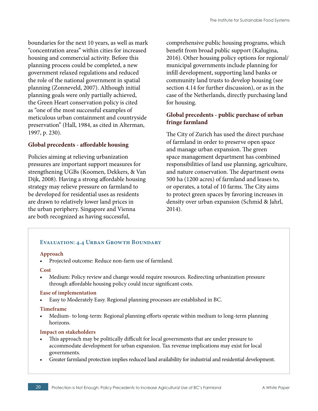boundaries for the next 10 years, as well as mark "concentration areas" within cities for increased housing and commercial activity. Before this planning process could be completed, a new government relaxed regulations and reduced the role of the national government in spatial planning (Zonneveld, 2007). Although initial planning goals were only partially achieved, the Green Heart conservation policy is cited as "one of the most successful examples of meticulous urban containment and countryside preservation" (Hall, 1984, as cited in Alterman, 1997, p. 230).

#### **Global precedents - affordable housing**

Policies aiming at relieving urbanization pressures are important support measures for strengthening UGBs (Koomen, Dekkers, & Van Dijk, 2008). Having a strong affordable housing strategy may relieve pressure on farmland to be developed for residential uses as residents are drawn to relatively lower land prices in the urban periphery. Singapore and Vienna are both recognized as having successful,

comprehensive public housing programs, which benefit from broad public support (Kalugina, 2016). Other housing policy options for regional/ municipal governments include planning for infill development, supporting land banks or community land trusts to develop housing (see section 4.14 for further discussion), or as in the case of the Netherlands, directly purchasing land for housing.

#### **Global precedents - public purchase of urban fringe farmland**

The City of Zurich has used the direct purchase of farmland in order to preserve open space and manage urban expansion. The green space management department has combined responsibilities of land use planning, agriculture, and nature conservation. The department owns 500 ha (1200 acres) of farmland and leases to, or operates, a total of 10 farms. The City aims to protect green spaces by favoring increases in density over urban expansion (Schmid & Jahrl, 2014).

#### **Evaluation: 4.4 Urban Growth Boundary**

#### **Approach**

• Projected outcome: Reduce non-farm use of farmland.

#### **Cost**

• Medium: Policy review and change would require resources. Redirecting urbanization pressure through affordable housing policy could incur significant costs.

#### **Ease of implementation**

• Easy to Moderately Easy. Regional planning processes are established in BC.

#### **Timeframe**

• Medium- to long-term: Regional planning efforts operate within medium to long-term planning horizons.

- This approach may be politically difficult for local governments that are under pressure to accommodate development for urban expansion. Tax revenue implications may exist for local governments.
- Greater farmland protection implies reduced land availability for industrial and residential development.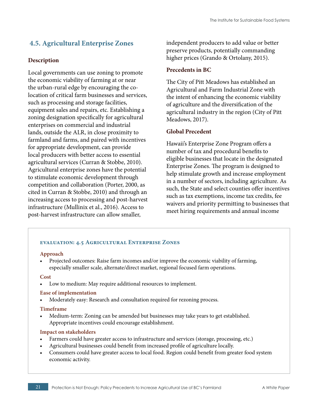# <span id="page-20-0"></span> **4.5. Agricultural Enterprise Zones**

#### **Description**

Local governments can use zoning to promote the economic viability of farming at or near the urban-rural edge by encouraging the colocation of critical farm businesses and services, such as processing and storage facilities, equipment sales and repairs, etc. Establishing a zoning designation specifically for agricultural enterprises on commercial and industrial lands, outside the ALR, in close proximity to farmland and farms, and paired with incentives for appropriate development, can provide local producers with better access to essential agricultural services (Curran & Stobbe, 2010). Agricultural enterprise zones have the potential to stimulate economic development through competition and collaboration (Porter, 2000, as cited in Curran & Stobbe, 2010) and through an increasing access to processing and post-harvest infrastructure (Mullinix et al., 2016). Access to post-harvest infrastructure can allow smaller,

independent producers to add value or better preserve products, potentially commanding higher prices (Grando & Ortolany, 2015).

#### **Precedents in BC**

The City of Pitt Meadows has established an Agricultural and Farm Industrial Zone with the intent of enhancing the economic viability of agriculture and the diversification of the agricultural industry in the region (City of Pitt Meadows, 2017).

#### **Global Precedent**

Hawaii's Enterprise Zone Program offers a number of tax and procedural benefits to eligible businesses that locate in the designated Enterprise Zones. The program is designed to help stimulate growth and increase employment in a number of sectors, including agriculture. As such, the State and select counties offer incentives such as tax exemptions, income tax credits, fee waivers and priority permitting to businesses that meet hiring requirements and annual income

#### **evaluation: 4.5 Agricultural Enterprise Zones**

#### **Approach**

• Projected outcomes: Raise farm incomes and/or improve the economic viability of farming, especially smaller scale, alternate/direct market, regional focused farm operations.

#### **Cost**

Low to medium: May require additional resources to implement.

#### **Ease of implementation**

• Moderately easy: Research and consultation required for rezoning process.

#### **Timeframe**

• Medium-term: Zoning can be amended but businesses may take years to get established. Appropriate incentives could encourage establishment.

- Farmers could have greater access to infrastructure and services (storage, processing, etc.)
- Agricultural businesses could benefit from increased profile of agriculture locally.
- Consumers could have greater access to local food. Region could benefit from greater food system economic activity.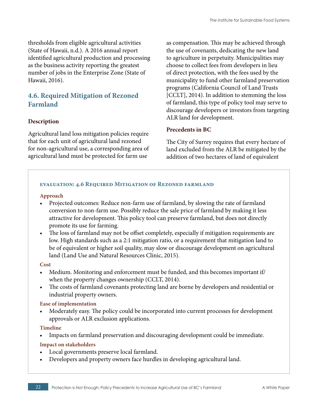<span id="page-21-0"></span>thresholds from eligible agricultural activities (State of Hawaii, n.d.). A 2016 annual report identified agricultural production and processing as the business activity reporting the greatest number of jobs in the Enterprise Zone (State of Hawaii, 2016).

# **4.6. Required Mitigation of Rezoned Farmland**

#### **Description**

Agricultural land loss mitigation policies require that for each unit of agricultural land rezoned for non-agricultural use, a corresponding area of agricultural land must be protected for farm use

as compensation. This may be achieved through the use of covenants, dedicating the new land to agriculture in perpetuity. Municipalities may choose to collect fees from developers in lieu of direct protection, with the fees used by the municipality to fund other farmland preservation programs (California Council of Land Trusts [CCLT], 2014). In addition to stemming the loss of farmland, this type of policy tool may serve to discourage developers or investors from targeting ALR land for development.

#### **Precedents in BC**

The City of Surrey requires that every hectare of land excluded from the ALR be mitigated by the addition of two hectares of land of equivalent

#### **evaluation: 4.6 Required Mitigation of Rezoned farmland**

#### **Approach**

- Projected outcomes: Reduce non-farm use of farmland, by slowing the rate of farmland conversion to non-farm use. Possibly reduce the sale price of farmland by making it less attractive for development. This policy tool can preserve farmland, but does not directly promote its use for farming.
- The loss of farmland may not be offset completely, especially if mitigation requirements are low. High standards such as a 2:1 mitigation ratio, or a requirement that mitigation land to be of equivalent or higher soil quality, may slow or discourage development on agricultural land (Land Use and Natural Resources Clinic, 2015).

#### **Cost**

- Medium. Monitoring and enforcement must be funded, and this becomes important if when the property changes ownership (CCLT, 2014).
- The costs of farmland covenants protecting land are borne by developers and residential or industrial property owners.

#### **Ease of implementation**

• Moderately easy. The policy could be incorporated into current processes for development approvals or ALR exclusion applications.

#### **Timeline**

• Impacts on farmland preservation and discouraging development could be immediate.

- Local governments preserve local farmland.
- Developers and property owners face hurdles in developing agricultural land.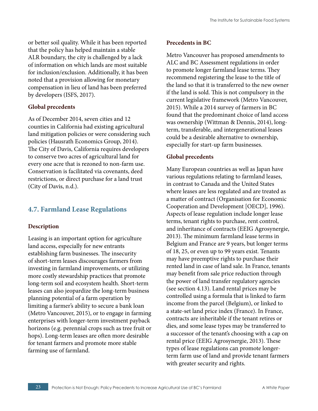<span id="page-22-0"></span>or better soil quality. While it has been reported that the policy has helped maintain a stable ALR boundary, the city is challenged by a lack of information on which lands are most suitable for inclusion/exclusion. Additionally, it has been noted that a provision allowing for monetary compensation in lieu of land has been preferred by developers (ISFS, 2017).

#### **Global precedents**

As of December 2014, seven cities and 12 counties in California had existing agricultural land mitigation policies or were considering such policies (Hausrath Economics Group, 2014). The City of Davis, California requires developers to conserve two acres of agricultural land for every one acre that is rezoned to non-farm use. Conservation is facilitated via covenants, deed restrictions, or direct purchase for a land trust (City of Davis, n.d.).

# **4.7. Farmland Lease Regulations**

#### **Description**

Leasing is an important option for agriculture land access, especially for new entrants establishing farm businesses. The insecurity of short-term leases discourages farmers from investing in farmland improvements, or utilizing more costly stewardship practices that promote long-term soil and ecosystem health. Short-term leases can also jeopardize the long-term business planning potential of a farm operation by limiting a farmer's ability to secure a bank loan (Metro Vancouver, 2015), or to engage in farming enterprises with longer-term investment payback horizons (e.g. perennial crops such as tree fruit or hops). Long-term leases are often more desirable for tenant farmers and promote more stable farming use of farmland.

## **Precedents in BC**

Metro Vancouver has proposed amendments to ALC and BC Assessment regulations in order to promote longer farmland lease terms. They recommend registering the lease to the title of the land so that it is transferred to the new owner if the land is sold. This is not compulsory in the current legislative framework (Metro Vancouver, 2015). While a 2014 survey of farmers in BC found that the predominant choice of land access was ownership (Wittman & Dennis, 2014), longterm, transferable, and intergenerational leases could be a desirable alternative to ownership, especially for start-up farm businesses.

### **Global precedents**

Many European countries as well as Japan have various regulations relating to farmland leases, in contrast to Canada and the United States where leases are less regulated and are treated as a matter of contract (Organisation for Economic Cooperation and Development [OECD], 1996). Aspects of lease regulation include longer lease terms, tenant rights to purchase, rent control, and inheritance of contracts (EEIG Agrosynergie, 2013). The minimum farmland lease terms in Belgium and France are 9 years, but longer terms of 18, 25, or even up to 99 years exist. Tenants may have preemptive rights to purchase their rented land in case of land sale. In France, tenants may benefit from sale price reduction through the power of land transfer regulatory agencies (see section 4.13). Land rental prices may be controlled using a formula that is linked to farm income from the parcel (Belgium), or linked to a state-set land price index (France). In France, contracts are inheritable if the tenant retires or dies, and some lease types may be transferred to a successor of the tenant's choosing with a cap on rental price (EEIG Agrosynergie, 2013). These types of lease regulations can promote longerterm farm use of land and provide tenant farmers with greater security and rights.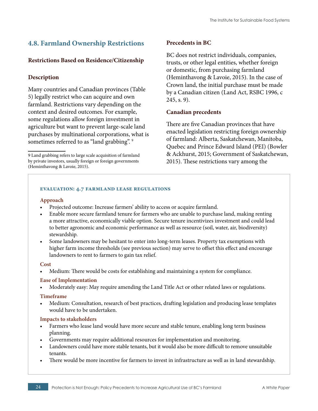# <span id="page-23-0"></span>**4.8. Farmland Ownership Restrictions**

#### **Restrictions Based on Residence/Citizenship**

#### **Description**

Many countries and Canadian provinces (Table 5) legally restrict who can acquire and own farmland. Restrictions vary depending on the context and desired outcomes. For example, some regulations allow foreign investment in agriculture but want to prevent large-scale land purchases by multinational corporations, what is sometimes referred to as "land grabbing".<sup>9</sup>

#### **Precedents in BC**

BC does not restrict individuals, companies, trusts, or other legal entities, whether foreign or domestic, from purchasing farmland (Heminthavong & Lavoie, 2015). In the case of Crown land, the initial purchase must be made by a Canadian citizen (Land Act, RSBC 1996, c 245, s. 9).

#### **Canadian precedents**

There are five Canadian provinces that have enacted legislation restricting foreign ownership of farmland: Alberta, Saskatchewan, Manitoba, Quebec and Prince Edward Island (PEI) (Bowler & Ackhurst, 2015; Government of Saskatchewan, 2015). These restrictions vary among the

#### **evaluation: 4.7 farmland lease regulations**

#### **Approach**

- Projected outcome: Increase farmers' ability to access or acquire farmland.
- Enable more secure farmland tenure for farmers who are unable to purchase land, making renting a more attractive, economically viable option. Secure tenure incentivizes investment and could lead to better agronomic and economic performance as well as resource (soil, water, air, biodiversity) stewardship.
- Some landowners may be hesitant to enter into long-term leases. Property tax exemptions with higher farm income thresholds (see previous section) may serve to offset this effect and encourage landowners to rent to farmers to gain tax relief.

#### **Cost**

• Medium: There would be costs for establishing and maintaining a system for compliance.

#### **Ease of Implementation**

• Moderately easy: May require amending the Land Title Act or other related laws or regulations.

#### **Timeframe**

• Medium: Consultation, research of best practices, drafting legislation and producing lease templates would have to be undertaken.

- Farmers who lease land would have more secure and stable tenure, enabling long term business planning.
- Governments may require additional resources for implementation and monitoring.
- Landowners could have more stable tenants, but it would also be more difficult to remove unsuitable tenants.
- There would be more incentive for farmers to invest in infrastructure as well as in land stewardship.

<sup>9</sup> Land grabbing refers to large scale acquisition of farmland by private investors, usually foreign or foreign governments (Heminthavong & Lavoie, 2015).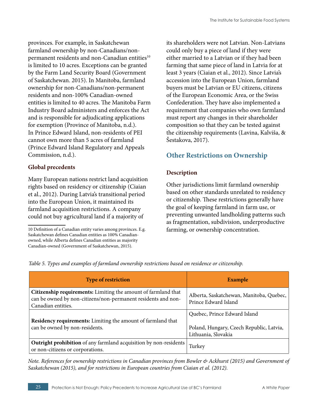provinces. For example, in Saskatchewan farmland ownership by non-Canadians/nonpermanent residents and non-Canadian entities<sup>10</sup> is limited to 10 acres. Exceptions can be granted by the Farm Land Security Board (Government of Saskatchewan. 2015). In Manitoba, farmland ownership for non-Canadians/non-permanent residents and non-100% Canadian-owned entities is limited to 40 acres. The Manitoba Farm Industry Board administers and enforces the Act and is responsible for adjudicating applications for exemption (Province of Manitoba, n.d.). In Prince Edward Island, non-residents of PEI cannot own more than 5 acres of farmland (Prince Edward Island Regulatory and Appeals Commission, n.d.).

#### **Global precedents**

Many European nations restrict land acquisition rights based on residency or citizenship (Ciaian et al., 2012). During Latvia's transitional period into the European Union, it maintained its farmland acquisition restrictions. A company could not buy agricultural land if a majority of

its shareholders were not Latvian. Non-Latvians could only buy a piece of land if they were either married to a Latvian or if they had been farming that same piece of land in Latvia for at least 3 years (Ciaian et al., 2012). Since Latvia's accession into the European Union, farmland buyers must be Latvian or EU citizens, citizens of the European Economic Area, or the Swiss Confederation. They have also implemented a requirement that companies who own farmland must report any changes in their shareholder composition so that they can be tested against the citizenship requirements (Lavina, Kalviša, & Šestakova, 2017).

# **Other Restrictions on Ownership**

#### **Description**

Other jurisdictions limit farmland ownership based on other standards unrelated to residency or citizenship. These restrictions generally have the goal of keeping farmland in farm use, or preventing unwanted landholding patterns such as fragmentation, subdivision, underproductive farming, or ownership concentration.

| <b>Type of restriction</b>                                                                                                                            | <b>Example</b>                                                                                  |
|-------------------------------------------------------------------------------------------------------------------------------------------------------|-------------------------------------------------------------------------------------------------|
| Citizenship requirements: Limiting the amount of farmland that<br>can be owned by non-citizens/non-permanent residents and non-<br>Canadian entities. | Alberta, Saskatchewan, Manitoba, Quebec,<br>Prince Edward Island                                |
| Residency requirements: Limiting the amount of farmland that<br>can be owned by non-residents.                                                        | Quebec, Prince Edward Island<br>Poland, Hungary, Czech Republic, Latvia,<br>Lithuania, Slovakia |
| Outright prohibition of any farmland acquisition by non-residents<br>or non-citizens or corporations.                                                 | Turkey                                                                                          |

*Table 5. Types and examples of farmland ownership restrictions based on residence or citizenship.*

*Note. References for ownership restrictions in Canadian provinces from Bowler & Ackhurst (2015) and Government of Saskatchewan (2015), and for restrictions in European countries from Ciaian et al. (2012).*

<sup>10</sup> Definition of a Canadian entity varies among provinces. E.g. Saskatchewan defines Canadian entities as 100% Canadianowned, while Alberta defines Canadian entities as majority Canadian-owned (Government of Saskatchewan, 2015).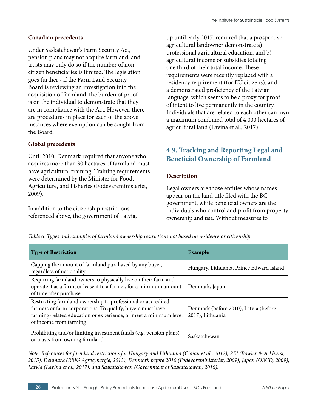#### <span id="page-25-0"></span>**Canadian precedents**

Under Saskatchewan's Farm Security Act, pension plans may not acquire farmland, and trusts may only do so if the number of noncitizen beneficiaries is limited. The legislation goes further - if the Farm Land Security Board is reviewing an investigation into the acquisition of farmland, the burden of proof is on the individual to demonstrate that they are in compliance with the Act. However, there are procedures in place for each of the above instances where exemption can be sought from the Board.

#### **Global precedents**

Until 2010, Denmark required that anyone who acquires more than 30 hectares of farmland must have agricultural training. Training requirements were determined by the Minister for Food, Agriculture, and Fisheries (Fødevareministeriet, 2009).

In addition to the citizenship restrictions referenced above, the government of Latvia, up until early 2017, required that a prospective agricultural landowner demonstrate a) professional agricultural education, and b) agricultural income or subsidies totaling one third of their total income. These requirements were recently replaced with a residency requirement (for EU citizens), and a demonstrated proficiency of the Latvian language, which seems to be a proxy for proof of intent to live permanently in the country. Individuals that are related to each other can own a maximum combined total of 4,000 hectares of agricultural land (Lavina et al., 2017).

# **4.9. Tracking and Reporting Legal and Beneficial Ownership of Farmland**

#### **Description**

Legal owners are those entities whose names appear on the land title filed with the BC government, while beneficial owners are the individuals who control and profit from property ownership and use. Without measures to

*Table 6. Types and examples of farmland ownership restrictions not based on residence or citizenship.*

| <b>Type of Restriction</b>                                                                                                                                                                                               | Example                                                   |
|--------------------------------------------------------------------------------------------------------------------------------------------------------------------------------------------------------------------------|-----------------------------------------------------------|
| Capping the amount of farmland purchased by any buyer,<br>regardless of nationality                                                                                                                                      | Hungary, Lithuania, Prince Edward Island                  |
| Requiring farmland owners to physically live on their farm and<br>operate it as a farm, or lease it to a farmer, for a minimum amount<br>of time after purchase                                                          | Denmark, Japan                                            |
| Restricting farmland ownership to professional or accredited<br>farmers or farm corporations. To qualify, buyers must have<br>farming-related education or experience, or meet a minimum level<br>of income from farming | Denmark (before 2010), Latvia (before<br>2017), Lithuania |
| Prohibiting and/or limiting investment funds (e.g. pension plans)<br>or trusts from owning farmland                                                                                                                      | Saskatchewan                                              |

*Note. References for farmland restrictions for Hungary and Lithuania (Ciaian et al., 2012), PEI (Bowler & Ackhurst, 2015), Denmark (EEIG Agrosynergie, 2013), Denmark before 2010 (Fødevareministeriet, 2009), Japan (OECD, 2009), Latvia (Lavina et al., 2017), and Saskatchewan (Government of Saskatchewan, 2016).*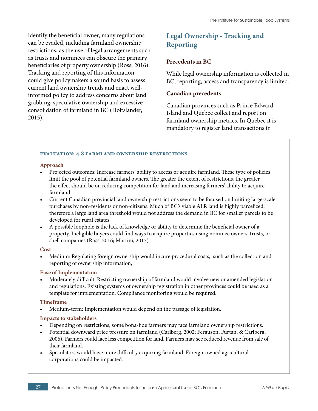identify the beneficial owner, many regulations can be evaded, including farmland ownership restrictions, as the use of legal arrangements such as trusts and nominees can obscure the primary beneficiaries of property ownership (Ross, 2016). Tracking and reporting of this information could give policymakers a sound basis to assess current land ownership trends and enact wellinformed policy to address concerns about land grabbing, speculative ownership and excessive consolidation of farmland in BC (Holtslander, 2015).

# **Legal Ownership - Tracking and Reporting**

#### **Precedents in BC**

While legal ownership information is collected in BC, reporting, access and transparency is limited.

#### **Canadian precedents**

Canadian provinces such as Prince Edward Island and Quebec collect and report on farmland ownership metrics. In Quebec it is mandatory to register land transactions in

#### **evaluation: 4.8 farmland ownership restrictions**

#### **Approach**

- Projected outcomes: Increase farmers' ability to access or acquire farmland. These type of policies limit the pool of potential farmland owners. The greater the extent of restrictions, the greater the effect should be on reducing competition for land and increasing farmers' ability to acquire farmland.
- Current Canadian provincial land ownership restrictions seem to be focused on limiting large-scale purchases by non-residents or non-citizens. Much of BC's viable ALR land is highly parcelized, therefore a large land area threshold would not address the demand in BC for smaller parcels to be developed for rural estates.
- A possible loophole is the lack of knowledge or ability to determine the beneficial owner of a property. Ineligible buyers could find ways to acquire properties using nominee owners, trusts, or shell companies (Ross, 2016; Martini, 2017).

#### **Cost**

• Medium: Regulating foreign ownership would incure procedural costs, such as the collection and reporting of ownership information,

#### **Ease of Implementation**

• Moderately difficult: Restricting ownership of farmland would involve new or amended legislation and regulations. Existing systems of ownership registration in other provinces could be used as a template for implementation. Compliance monitoring would be required.

#### **Timeframe**

• Medium-term: Implementation would depend on the passage of legislation.

- Depending on restrictions, some bona-fide farmers may face farmland ownership restrictions.
- Potential downward price pressure on farmland (Carlberg, 2002; Ferguson, Furtan, & Carlberg, 2006). Farmers could face less competition for land. Farmers may see reduced revenue from sale of their farmland.
- Speculators would have more difficulty acquiring farmland. Foreign-owned agricultural corporations could be impacted.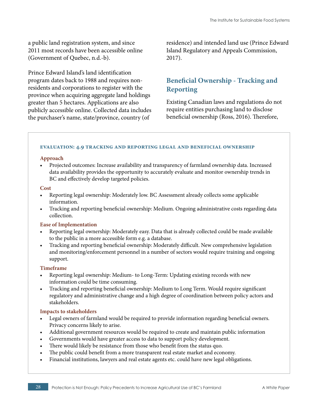a public land registration system, and since 2011 most records have been accessible online (Government of Quebec, n.d.-b).

Prince Edward Island's land identification program dates back to 1988 and requires nonresidents and corporations to register with the province when acquiring aggregate land holdings greater than 5 hectares. Applications are also publicly accessible online. Collected data includes the purchaser's name, state/province, country (of

residence) and intended land use (Prince Edward Island Regulatory and Appeals Commission, 2017).

# **Beneficial Ownership - Tracking and Reporting**

Existing Canadian laws and regulations do not require entities purchasing land to disclose beneficial ownership (Ross, 2016). Therefore,

#### **evaluation: 4.9 tracking and reporting legal and beneficial ownership**

#### **Approach**

• Projected outcomes: Increase availability and transparency of farmland ownership data. Increased data availability provides the opportunity to accurately evaluate and monitor ownership trends in BC and effectively develop targeted policies.

#### **Cost**

- Reporting legal ownership: Moderately low. BC Assessment already collects some applicable information.
- Tracking and reporting beneficial ownership: Medium. Ongoing administrative costs regarding data collection.

#### **Ease of Implementation**

- Reporting legal ownership: Moderately easy. Data that is already collected could be made available to the public in a more accessible form e.g. a database.
- Tracking and reporting beneficial ownership: Moderately difficult. New comprehensive legislation and monitoring/enforcement personnel in a number of sectors would require training and ongoing support.

#### **Timeframe**

- Reporting legal ownership: Medium- to Long-Term: Updating existing records with new information could be time consuming.
- Tracking and reporting beneficial ownership: Medium to Long Term. Would require significant regulatory and administrative change and a high degree of coordination between policy actors and stakeholders.

- Legal owners of farmland would be required to provide information regarding beneficial owners. Privacy concerns likely to arise.
- Additional government resources would be required to create and maintain public information
- Governments would have greater access to data to support policy development.
- There would likely be resistance from those who benefit from the status quo.
- The public could benefit from a more transparent real estate market and economy.
- Financial institutions, lawyers and real estate agents etc. could have new legal obligations.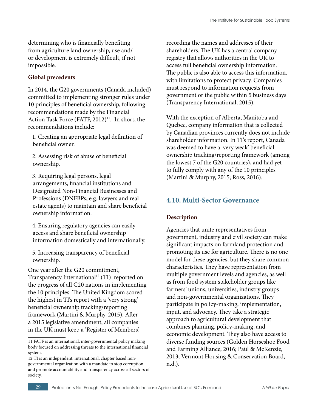<span id="page-28-0"></span>determining who is financially benefiting from agriculture land ownership, use and/ or development is extremely difficult, if not impossible.

#### **Global precedents**

In 2014, the G20 governments (Canada included) committed to implementing stronger rules under 10 principles of beneficial ownership, following recommendations made by the Financial Action Task Force (FATF, 2012)<sup>11</sup>. In short, the recommendations include:

1. Creating an appropriate legal definition of beneficial owner.

2. Assessing risk of abuse of beneficial ownership.

3. Requiring legal persons, legal arrangements, financial institutions and Designated Non-Financial Businesses and Professions (DNFBPs, e.g. lawyers and real estate agents) to maintain and share beneficial ownership information.

4. Ensuring regulatory agencies can easily access and share beneficial ownership information domestically and internationally.

5. Increasing transparency of beneficial ownership.

One year after the G20 commitment, Transparency International<sup>12</sup> (TI) reported on the progress of all G20 nations in implementing the 10 principles. The United Kingdom scored the highest in TI's report with a 'very strong' beneficial ownership tracking/reporting framework (Martini & Murphy, 2015). After a 2015 legislative amendment, all companies in the UK must keep a 'Register of Members',

recording the names and addresses of their shareholders. The UK has a central company registry that allows authorities in the UK to access full beneficial ownership information. The public is also able to access this information, with limitations to protect privacy. Companies must respond to information requests from government or the public within 5 business days (Transparency International, 2015).

With the exception of Alberta, Manitoba and Quebec, company information that is collected by Canadian provinces currently does not include shareholder information. In TI's report, Canada was deemed to have a 'very weak' beneficial ownership tracking/reporting framework (among the lowest 7 of the G20 countries), and had yet to fully comply with any of the 10 principles (Martini & Murphy, 2015; Ross, 2016).

### **4.10. Multi-Sector Governance**

#### **Description**

Agencies that unite representatives from government, industry and civil society can make significant impacts on farmland protection and promoting its use for agriculture. There is no one model for these agencies, but they share common characteristics. They have representation from multiple government levels and agencies, as well as from food system stakeholder groups like farmers' unions, universities, industry groups and non-governmental organizations. They participate in policy-making, implementation, input, and advocacy. They take a strategic approach to agricultural development that combines planning, policy-making, and economic development. They also have access to diverse funding sources (Golden Horseshoe Food and Farming Alliance, 2016; Paül & McKenzie, 2013; Vermont Housing & Conservation Board, n.d.).

<sup>11</sup> FATF is an international, inter-governmental policy making body focused on addressing threats to the international financial system.

<sup>12</sup> TI is an independent, international, chapter based nongovernmental organization with a mandate to stop corruption and promote accountability and transparency across all sectors of society.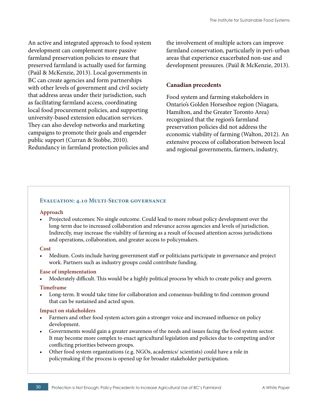An active and integrated approach to food system development can complement more passive farmland preservation policies to ensure that preserved farmland is actually used for farming (Paül & McKenzie, 2013). Local governments in BC can create agencies and form partnerships with other levels of government and civil society that address areas under their jurisdiction, such as facilitating farmland access, coordinating local food procurement policies, and supporting university-based extension education services. They can also develop networks and marketing campaigns to promote their goals and engender public support (Curran & Stobbe, 2010). Redundancy in farmland protection policies and

the involvement of multiple actors can improve farmland conservation, particularly in peri-urban areas that experience exacerbated non-use and development pressures. (Paül & McKenzie, 2013).

#### **Canadian precedents**

Food system and farming stakeholders in Ontario's Golden Horseshoe region (Niagara, Hamilton, and the Greater Toronto Area) recognized that the region's farmland preservation policies did not address the economic viability of farming (Walton, 2012). An extensive process of collaboration between local and regional governments, farmers, industry,

#### **Evaluation: 4.10 Multi-Sector governance**

#### **Approach**

• Projected outcomes: No single outcome. Could lead to more robust policy development over the long-term due to increased collaboration and relevance across agencies and levels of jurisdiction. Indirectly, may increase the viability of farming as a result of focused attention across jurisdictions and operations, collaboration, and greater access to policymakers.

#### **Cost**

• Medium. Costs include having government staff or politicians participate in governance and project work. Partners such as industry groups could contribute funding.

#### **Ease of implementation**

• Moderately difficult. This would be a highly political process by which to create policy and govern.

#### **Timeframe**

• Long-term. It would take time for collaboration and consensus-building to find common ground that can be sustained and acted upon.

- Farmers and other food system actors gain a stronger voice and increased influence on policy development.
- Governments would gain a greater awareness of the needs and issues facing the food system sector. It may become more complex to enact agricultural legislation and policies due to competing and/or conflicting priorities between groups.
- Other food system organizations (e.g. NGOs, academics/ scientists) could have a role in policymaking if the process is opened up for broader stakeholder participation.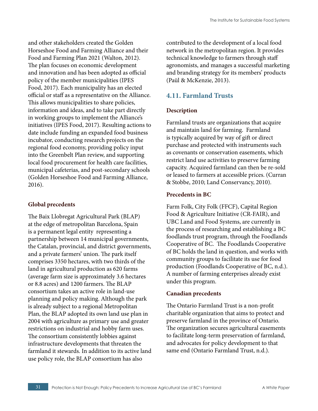<span id="page-30-0"></span>and other stakeholders created the Golden Horseshoe Food and Farming Alliance and their Food and Farming Plan 2021 (Walton, 2012). The plan focuses on economic development and innovation and has been adopted as official policy of the member municipalities (IPES Food, 2017). Each municipality has an elected official or staff as a representative on the Alliance. This allows municipalities to share policies, information and ideas, and to take part directly in working groups to implement the Alliance's initiatives (IPES Food, 2017). Resulting actions to date include funding an expanded food business incubator, conducting research projects on the regional food economy, providing policy input into the Greenbelt Plan review, and supporting local food procurement for health care facilities, municipal cafeterias, and post-secondary schools (Golden Horseshoe Food and Farming Alliance, 2016).

#### **Global precedents**

The Baix Llobregat Agricultural Park (BLAP) at the edge of metropolitan Barcelona, Spain is a permanent legal entity representing a partnership between 14 municipal governments, the Catalan, provincial, and district governments, and a private farmers' union. The park itself comprises 3350 hectares, with two thirds of the land in agricultural production as 620 farms (average farm size is approximately 3.6 hectares or 8.8 acres) and 1200 farmers. The BLAP consortium takes an active role in land-use planning and policy making. Although the park is already subject to a regional Metropolitan Plan, the BLAP adopted its own land use plan in 2004 with agriculture as primary use and greater restrictions on industrial and hobby farm uses. The consortium consistently lobbies against infrastructure developments that threaten the farmland it stewards. In addition to its active land use policy role, the BLAP consortium has also

contributed to the development of a local food network in the metropolitan region. It provides technical knowledge to farmers through staff agronomists, and manages a successful marketing and branding strategy for its members' products (Paül & McKenzie, 2013).

## **4.11. Farmland Trusts**

#### **Description**

Farmland trusts are organizations that acquire and maintain land for farming. Farmland is typically acquired by way of gift or direct purchase and protected with instruments such as covenants or conservation easements, which restrict land use activities to preserve farming capacity. Acquired farmland can then be re-sold or leased to farmers at accessible prices. (Curran & Stobbe, 2010; Land Conservancy, 2010).

#### **Precedents in BC**

Farm Folk, City Folk (FFCF), Capital Region Food & Agriculture Initiative (CR-FAIR), and UBC Land and Food Systems, are currently in the process of researching and establishing a BC foodlands trust program, through the Foodlands Cooperative of BC. The Foodlands Cooperative of BC holds the land in question, and works with community groups to facilitate its use for food production (Foodlands Cooperative of BC, n.d.). A number of farming enterprises already exist under this program.

#### **Canadian precedents**

The Ontario Farmland Trust is a non-profit charitable organization that aims to protect and preserve farmland in the province of Ontario. The organization secures agricultural easements to facilitate long-term preservation of farmland, and advocates for policy development to that same end (Ontario Farmland Trust, n.d.).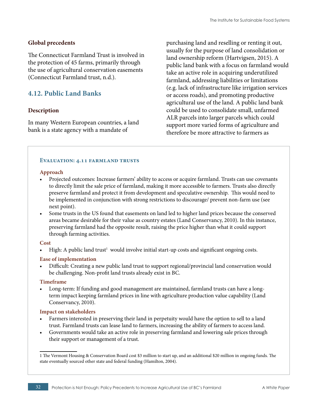#### <span id="page-31-0"></span>**Global precedents**

The Connecticut Farmland Trust is involved in the protection of 45 farms, primarily through the use of agricultural conservation easements (Connecticut Farmland trust, n.d.).

### **4.12. Public Land Banks**

#### **Description**

In many Western European countries, a land bank is a state agency with a mandate of

purchasing land and reselling or renting it out, usually for the purpose of land consolidation or land ownership reform (Hartvigsen, 2015). A public land bank with a focus on farmland would take an active role in acquiring underutilized farmland, addressing liabilities or limitations (e.g. lack of infrastructure like irrigation services or access roads), and promoting productive agricultural use of the land. A public land bank could be used to consolidate small, unfarmed ALR parcels into larger parcels which could support more varied forms of agriculture and therefore be more attractive to farmers as

#### **Evaluation: 4.11 farmland trusts**

#### **Approach**

- Projected outcomes: Increase farmers' ability to access or acquire farmland. Trusts can use covenants to directly limit the sale price of farmland, making it more accessible to farmers. Trusts also directly preserve farmland and protect it from development and speculative ownership. This would need to be implemented in conjunction with strong restrictions to discourage/ prevent non-farm use (see next point).
- Some trusts in the US found that easements on land led to higher land prices because the conserved areas became desirable for their value as country estates (Land Conservancy, 2010). In this instance, preserving farmland had the opposite result, raising the price higher than what it could support through farming activities.

#### **Cost**

• High: A public land trust<sup>1</sup> would involve initial start-up costs and significant ongoing costs.

#### **Ease of implementation**

• Difficult: Creating a new public land trust to support regional/provincial land conservation would be challenging. Non-profit land trusts already exist in BC.

#### **Timeframe**

• Long-term: If funding and good management are maintained, farmland trusts can have a longterm impact keeping farmland prices in line with agriculture production value capability (Land Conservancy, 2010).

- Farmers interested in preserving their land in perpetuity would have the option to sell to a land trust. Farmland trusts can lease land to farmers, increasing the ability of farmers to access land.
- Governments would take an active role in preserving farmland and lowering sale prices through their support or management of a trust.

<sup>1</sup> The Vermont Housing & Conservation Board cost \$3 million to start up, and an additional \$20 million in ongoing funds. The state eventually sourced other state and federal funding (Hamilton, 2004).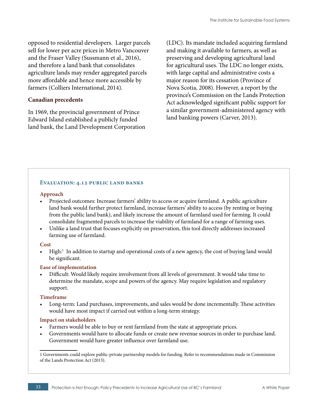opposed to residential developers. Larger parcels sell for lower per acre prices in Metro Vancouver and the Fraser Valley (Sussmann et al., 2016), and therefore a land bank that consolidates agriculture lands may render aggregated parcels more affordable and hence more accessible by farmers (Colliers International, 2014).

#### **Canadian precedents**

In 1969, the provincial government of Prince Edward Island established a publicly funded land bank, the Land Development Corporation (LDC). Its mandate included acquiring farmland and making it available to farmers, as well as preserving and developing agricultural land for agricultural uses. The LDC no longer exists, with large capital and administrative costs a major reason for its cessation (Province of Nova Scotia, 2008). However, a report by the province's Commission on the Lands Protection Act acknowledged significant public support for a similar government-administered agency with land banking powers (Carver, 2013).

#### **Evaluation: 4.12 public land banks**

#### **Approach**

- Projected outcomes: Increase farmers' ability to access or acquire farmland. A public agriculture land bank would further protect farmland, increase farmers' ability to access (by renting or buying from the public land bank), and likely increase the amount of farmland used for farming. It could consolidate fragmented parcels to increase the viability of farmland for a range of farming uses.
- Unlike a land trust that focuses explicitly on preservation, this tool directly addresses increased farming use of farmland.

#### **Cost**

• High:<sup>1</sup> In addition to startup and operational costs of a new agency, the cost of buying land would be significant.

#### **Ease of implementation**

• Difficult: Would likely require involvement from all levels of government. It would take time to determine the mandate, scope and powers of the agency. May require legislation and regulatory support.

#### **Timeframe**

• Long-term: Land purchases, improvements, and sales would be done incrementally. These activities would have most impact if carried out within a long-term strategy.

- Farmers would be able to buy or rent farmland from the state at appropriate prices.
- Governments would have to allocate funds or create new revenue sources in order to purchase land. Government would have greater influence over farmland use.

<sup>1</sup> Governments could explore public-private partnership models for funding. Refer to recommendations made in Commission of the Lands Protection Act (2013).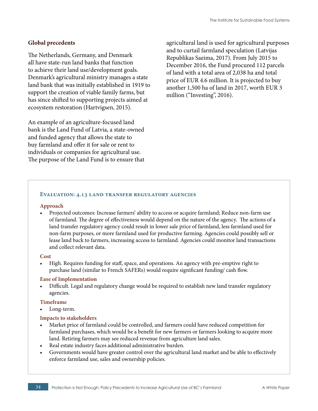#### **Global precedents**

The Netherlands, Germany, and Denmark all have state-run land banks that function to achieve their land use/development goals. Denmark's agricultural ministry manages a state land bank that was initially established in 1919 to support the creation of viable family farms, but has since shifted to supporting projects aimed at ecosystem restoration (Hartvigsen, 2015).

An example of an agriculture-focused land bank is the Land Fund of Latvia, a state-owned and funded agency that allows the state to buy farmland and offer it for sale or rent to individuals or companies for agricultural use. The purpose of the Land Fund is to ensure that agricultural land is used for agricultural purposes and to curtail farmland speculation (Latvijas Republikas Saeima, 2017). From July 2015 to December 2016, the Fund procured 112 parcels of land with a total area of 2,038 ha and total price of EUR 4.6 million. It is projected to buy another 1,500 ha of land in 2017, worth EUR 3 million ("Investing", 2016).

#### **Evaluation: 4.13 land transfer regulatory agencies**

#### **Approach**

• Projected outcomes: Increase farmers' ability to access or acquire farmland; Reduce non-farm use of farmland. The degree of effectiveness would depend on the nature of the agency. The actions of a land transfer regulatory agency could result in lower sale price of farmland, less farmland used for non-farm purposes, or more farmland used for productive farming. Agencies could possibly sell or lease land back to farmers, increasing access to farmland. Agencies could monitor land transactions and collect relevant data.

#### **Cost**

• High. Requires funding for staff, space, and operations. An agency with pre-emptive right to purchase land (similar to French SAFERs) would require significant funding/ cash flow.

#### **Ease of Implementation**

• Difficult. Legal and regulatory change would be required to establish new land transfer regulatory agencies.

#### **Timeframe**

Long-term.

- Market price of farmland could be controlled, and farmers could have reduced competition for farmland purchases, which would be a benefit for new farmers or farmers looking to acquire more land. Retiring farmers may see reduced revenue from agriculture land sales.
- Real estate industry faces additional administrative burden.
- Governments would have greater control over the agricultural land market and be able to effectively enforce farmland use, sales and ownership policies.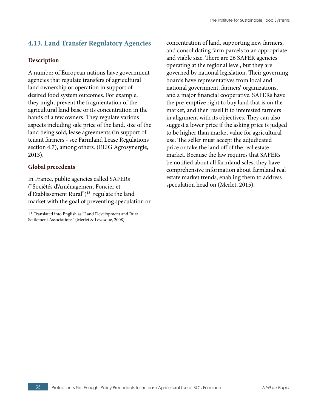# <span id="page-34-0"></span>**4.13. Land Transfer Regulatory Agencies**

#### **Description**

A number of European nations have government agencies that regulate transfers of agricultural land ownership or operation in support of desired food system outcomes. For example, they might prevent the fragmentation of the agricultural land base or its concentration in the hands of a few owners. They regulate various aspects including sale price of the land, size of the land being sold, lease agreements (in support of tenant farmers - see Farmland Lease Regulations section 4.7), among others. (EEIG Agrosynergie, 2013).

#### **Global precedents**

In France, public agencies called SAFERs ("Sociétés d'Aménagement Foncier et d'Etablissement Rural")13 regulate the land market with the goal of preventing speculation or concentration of land, supporting new farmers, and consolidating farm parcels to an appropriate and viable size. There are 26 SAFER agencies operating at the regional level, but they are governed by national legislation. Their governing boards have representatives from local and national government, farmers' organizations, and a major financial cooperative. SAFERs have the pre-emptive right to buy land that is on the market, and then resell it to interested farmers in alignment with its objectives. They can also suggest a lower price if the asking price is judged to be higher than market value for agricultural use. The seller must accept the adjudicated price or take the land off of the real estate market. Because the law requires that SAFERs be notified about all farmland sales, they have comprehensive information about farmland real estate market trends, enabling them to address speculation head on (Merlet, 2015).

<sup>13</sup> Translated into English as "Land Development and Rural Settlement Associations" (Merlet & Levesque, 2008)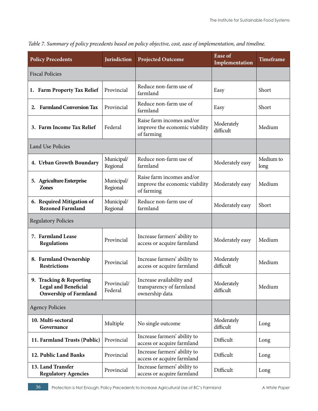| <b>Policy Precedents</b>                                                               | <b>Jurisdiction</b>    | <b>Projected Outcome</b>                                                  | <b>Ease of</b><br>Implementation | <b>Timeframe</b>  |
|----------------------------------------------------------------------------------------|------------------------|---------------------------------------------------------------------------|----------------------------------|-------------------|
| <b>Fiscal Policies</b>                                                                 |                        |                                                                           |                                  |                   |
| 1. Farm Property Tax Relief                                                            | Provincial             | Reduce non-farm use of<br>farmland                                        | Easy                             | Short             |
| <b>Farmland Conversion Tax</b><br>2.                                                   | Provincial             | Reduce non-farm use of<br>farmland                                        | Easy                             | Short             |
| 3. Farm Income Tax Relief                                                              | Federal                | Raise farm incomes and/or<br>improve the economic viability<br>of farming | Moderately<br>difficult          | Medium            |
| <b>Land Use Policies</b>                                                               |                        |                                                                           |                                  |                   |
| 4. Urban Growth Boundary                                                               | Municipal/<br>Regional | Reduce non-farm use of<br>farmland                                        | Moderately easy                  | Medium to<br>long |
| 5. Agriculture Enterprise<br><b>Zones</b>                                              | Municipal/<br>Regional | Raise farm incomes and/or<br>improve the economic viability<br>of farming | Moderately easy                  | Medium            |
| 6. Required Mitigation of<br><b>Rezoned Farmland</b>                                   | Municipal/<br>Regional | Reduce non-farm use of<br>farmland                                        | Moderately easy                  | Short             |
| <b>Regulatory Policies</b>                                                             |                        |                                                                           |                                  |                   |
| 7. Farmland Lease<br><b>Regulations</b>                                                | Provincial             | Increase farmers' ability to<br>access or acquire farmland                | Moderately easy                  | Medium            |
| 8. Farmland Ownership<br><b>Restrictions</b>                                           | Provincial             | Increase farmers' ability to<br>access or acquire farmland                | Moderately<br>difficult          | Medium            |
| 9. Tracking & Reporting<br><b>Legal and Beneficial</b><br><b>Onwership of Farmland</b> | Provincial/<br>Federal | Increase availability and<br>transparency of farmland<br>ownership data   | Moderately<br>difficult          | Medium            |
| <b>Agency Policies</b>                                                                 |                        |                                                                           |                                  |                   |
| 10. Multi-sectoral<br>Governance                                                       | Multiple               | No single outcome                                                         | Moderately<br>difficult          | Long              |
| 11. Farmland Trusts (Public)                                                           | Provincial             | Increase farmers' ability to<br>access or acquire farmland                | Difficult                        | Long              |
| 12. Public Land Banks                                                                  | Provincial             | Increase farmers' ability to<br>access or acquire farmland                | Difficult                        | Long              |
| 13. Land Transfer<br><b>Regulatory Agencies</b>                                        | Provincial             | Increase farmers' ability to<br>access or acquire farmland                | Difficult                        | Long              |

*Table 7. Summary of policy precedents based on policy objective, cost, ease of implementation, and timeline.*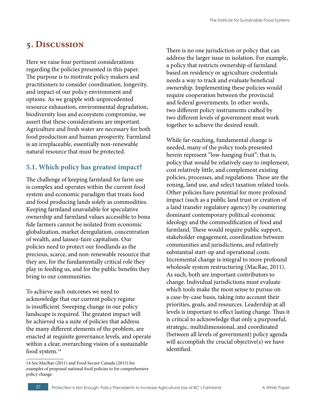# <span id="page-36-0"></span>**5. Discussion**

Here we raise four pertinent considerations regarding the policies presented in this paper. The purpose is to motivate policy makers and practitioners to consider coordination, longevity, and impact of our policy environment and options. As we grapple with unprecedented resource exhaustion, environmental degradation, biodiversity loss and ecosystem compromise, we assert that these considerations are important. Agriculture and fresh water are necessary for both food production and human prosperity. Farmland is an irreplaceable, essentially non-renewable natural resource that must be protected.

# **5.1. Which policy has greatest impact?**

The challenge of keeping farmland for farm use is complex and operates within the current food system and economic paradigm that treats food and food producing lands solely as commodities. Keeping farmland unavailable for speculative ownership and farmland values accessible to bona fide farmers cannot be isolated from economic globalization, market deregulation, concentration of wealth, and laissez-faire capitalism. Our policies need to protect our foodlands as the precious, scarce, and non-renewable resource that they are, for the fundamentally critical role they play in feeding us, and for the public benefits they bring to our communities.

To achieve such outcomes we need to acknowledge that our current policy regime is insufficient. Sweeping change in our policy landscape is required. The greatest impact will be achieved via a suite of policies that address the many different elements of the problem, are enacted at requisite governance levels, and operate within a clear, overarching vision of a sustainable food system.<sup>14</sup>

There is no one jurisdiction or policy that can address the larger issue in isolation. For example, a policy that restricts ownership of farmland based on residency or agriculture credentials needs a way to track and evaluate beneficial ownership. Implementing these policies would require cooperation between the provincial and federal governments. In other words, two different policy instruments crafted by two different levels of government must work together to achieve the desired result.

While far-reaching, fundamental change is needed, many of the policy tools presented herein represent "low-hanging fruit"; that is, policy that would be relatively easy to implement, cost relatively little, and complement existing policies, processes, and regulations. These are the zoning, land use, and select taxation related tools. Other policies have potential for more profound impact (such as a public land trust or creation of a land transfer regulatory agency) by countering dominant contemporary political-economic ideology and the commodification of food and farmland. These would require public support, stakeholder engagement, coordination between communities and jurisdictions, and relatively substantial start-up and operational costs. Incremental change is integral to more profound wholesale system restructuring (MacRae, 2011). As such, both are important contributors to change. Individual jurisdictions must evaluate which tools make the most sense to pursue on a case-by-case basis, taking into account their priorities, goals, and resources. Leadership at all levels is important to effect lasting change. Thus it is critical to acknowledge that only a purposeful, strategic, multidimensional, and coordinated (between all levels of government) policy agenda will accomplish the crucial objective(s) we have identified.

<sup>14</sup> See MacRae (2011) and Food Secure Canada (2015) for examples of proposed national food policies to for comprehensive policy change.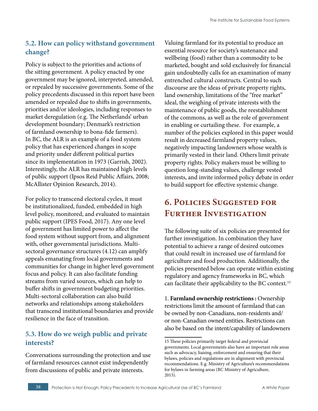# <span id="page-37-0"></span>**5.2. How can policy withstand government change?**

Policy is subject to the priorities and actions of the sitting government. A policy enacted by one government may be ignored, interpreted, amended, or repealed by successive governments. Some of the policy precedents discussed in this report have been amended or repealed due to shifts in governments, priorities and/or ideologies, including responses to market deregulation (e.g. The Netherlands' urban development boundary; Denmark's restriction of farmland ownership to bona-fide farmers). In BC, the ALR is an example of a food system policy that has experienced changes in scope and priority under different political parties since its implementation in 1973 (Garrish, 2002). Interestingly, the ALR has maintained high levels of public support (Ipsos Reid Public Affairs, 2008; McAllister Opinion Research, 2014).

For policy to transcend electoral cycles, it must be institutionalized, funded, embedded in high level policy, monitored, and evaluated to maintain public support (IPES Food, 2017). Any one level of government has limited power to affect the food system without support from, and alignment with, other governmental jurisdictions. Multisectoral governance structures (4.12) can amplify appeals emanating from local governments and communities for change in higher level government focus and policy. It can also facilitate funding streams from varied sources, which can help to buffer shifts in government budgeting priorities. Multi-sectoral collaboration can also build networks and relationships among stakeholders that transcend institutional boundaries and provide resilience in the face of transition.

# **5.3. How do we weigh public and private interests?**

Conversations surrounding the protection and use of farmland resources cannot exist independently from discussions of public and private interests.

Valuing farmland for its potential to produce an essential resource for society's sustenance and wellbeing (food) rather than a commodity to be marketed, bought and sold exclusively for financial gain undoubtedly calls for an examination of many entrenched cultural constructs. Central to such discourse are the ideas of private property rights, land ownership, limitations of the "free market" ideal, the weighing of private interests with the maintenance of public goods, the reestablishment of the commons, as well as the role of government in enabling or curtailing these. For example, a number of the policies explored in this paper would result in decreased farmland property values, negatively impacting landowners whose wealth is primarily vested in their land. Others limit private property rights. Policy makers must be willing to question long-standing values, challenge vested interests, and invite informed policy debate in order to build support for effective systemic change.

# **6. Policies Suggested for Further Investigation**

The following suite of six policies are presented for further investigation. In combination they have potential to achieve a range of desired outcomes that could result in increased use of farmland for agriculture and food production. Additionally, the policies presented below can operate within existing regulatory and agency frameworks in BC, which can facilitate their applicability to the BC context.15

1. **Farmland ownership restrictions :** Ownership restrictions limit the amount of farmland that can be owned by non-Canadians, non-residents and/ or non-Canadian owned entities. Restrictions can also be based on the intent/capability of landowners

<sup>15</sup> These policies primarily target federal and provincial governments. Local governments also have an important role areas such as advocacy, liaising, enforcement and ensuring that their bylaws, policies and regulations are in alignment with provincial recommendations. E.g. Ministry of Agriculture's recommendations for bylaws in farming areas (BC Ministry of Agriculture, 2015).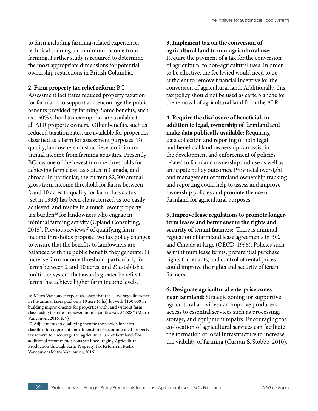to farm including farming-related experience, technical training, or minimum income from farming. Further study is required to determine the most appropriate dimensions for potential ownership restrictions in British Columbia.

#### **2. Farm property tax relief reform:** BC

Assessment facilitates reduced property taxation for farmland to support and encourage the public benefits provided by farming. Some benefits, such as a 50% school tax exemption, are available to all ALR property owners. Other benefits, such as reduced taxation rates, are available for properties classified as a farm for assessment purposes. To qualify, landowners must achieve a minimum annual income from farming activities. Presently BC has one of the lowest income thresholds for achieving farm class tax status in Canada, and abroad. In particular, the current \$2,500 annual gross farm income threshold for farms between 2 and 10 acres to qualify for farm class status (set in 1993) has been characterized as too easily achieved, and results in a much lower property tax burden<sup>16</sup> for landowners who engage in minimal farming activity (Upland Consulting, 2015). Previous reviews $17$  of qualifying farm income thresholds propose two tax policy changes to ensure that the benefits to landowners are balanced with the public benefits they generate: 1) increase farm income threshold, particularly for farms between 2 and 10 acres; and 2) establish a multi-tier system that awards greater benefits to farms that achieve higher farm income levels.

**3. Implement tax on the conversion of agricultural land to non-agricultural use:**  Require the payment of a tax for the conversion of agricultural to non-agricultural uses. In order to be effective, the fee levied would need to be sufficient to remove financial incentive for the conversion of agricultural land. Additionally, this tax policy should not be used as carte blanche for the removal of agricultural land from the ALR.

**4. Require the disclosure of beneficial, in addition to legal, ownership of farmland and make data publically available:** Requiring data collection and reporting of both legal and beneficial land ownership can assist in the development and enforcement of policies related to farmland ownership and use as well as anticipate policy outcomes. Provincial oversight and management of farmland ownership tracking and reporting could help to assess and improve ownership policies and promote the use of farmland for agricultural purposes.

**5. Improve lease regulations to promote longerterm leases and better ensure the rights and security of tenant farmers:** There is minimal regulation of farmland lease agreements in BC, and Canada at large (OECD, 1996). Policies such as minimum lease terms, preferential purchase rights for tenants, and control of rental prices could improve the rights and security of tenant farmers.

**6. Designate agricultural enterprise zones near farmland:** Strategic zoning for supportive agricultural activities can improve producers' access to essential services such as processing, storage, and equipment repairs. Encouraging the co-location of agricultural services can facilitate the formation of local infrastructure to increase the viability of farming (Curran & Stobbe, 2010).

<sup>16</sup> Metro Vancouver report assessed that the "...average difference in the annual taxes paid on a 10 acre (4 ha) lot with \$150,000 in building improvements for properties with, and without farm class, using tax rates for seven municipalities was \$7,088." (Metro Vancouver, 2016. P. 7)

<sup>17</sup> Adjustments to qualifying income thresholds for farm classification represent one dimension of recommended property tax reform to encourage the agricultural use of farmland. For additional recommendations see Encouraging Agricultural Production through Farm Property Tax Reform in Metro Vancouver (Metro Vancouver, 2016).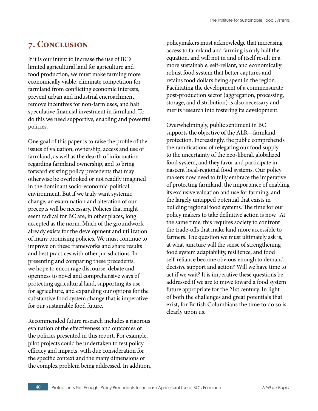# <span id="page-39-0"></span>**7. Conclusion**

If it is our intent to increase the use of BC's limited agricultural land for agriculture and food production, we must make farming more economically viable, eliminate competition for farmland from conflicting economic interests, prevent urban and industrial encroachment, remove incentives for non-farm uses, and halt speculative financial investment in farmland. To do this we need supportive, enabling and powerful policies.

One goal of this paper is to raise the profile of the issues of valuation, ownership, access and use of farmland, as well as the dearth of information regarding farmland ownership, and to bring forward existing policy precedents that may otherwise be overlooked or not readily imagined in the dominant socio-economic-political environment. But if we truly want systemic change, an examination and alteration of our precepts will be necessary. Policies that might seem radical for BC are, in other places, long accepted as the norm. Much of the groundwork already exists for the development and utilization of many promising policies. We must continue to improve on these frameworks and share results and best practices with other jurisdictions. In presenting and comparing these precedents, we hope to encourage discourse, debate and openness to novel and comprehensive ways of protecting agricultural land, supporting its use for agriculture, and expanding our options for the substantive food system change that is imperative for our sustainable food future.

Recommended future research includes a rigorous evaluation of the effectiveness and outcomes of the policies presented in this report. For example, pilot projects could be undertaken to test policy efficacy and impacts, with due consideration for the specific context and the many dimensions of the complex problem being addressed. In addition, policymakers must acknowledge that increasing access to farmland and farming is only half the equation, and will not in and of itself result in a more sustainable, self-reliant, and economically robust food system that better captures and retains food dollars being spent in the region. Facilitating the development of a commensurate post-production sector (aggregation, processing, storage, and distribution) is also necessary and merits research into fostering its development.

Overwhelmingly, public sentiment in BC supports the objective of the ALR—farmland protection. Increasingly, the public comprehends the ramifications of relegating our food supply to the uncertainty of the neo-liberal, globalized food system, and they favor and participate in nascent local-regional food systems. Our policy makers now need to fully embrace the imperative of protecting farmland, the importance of enabling its exclusive valuation and use for farming, and the largely untapped potential that exists in building regional food systems. The time for our policy makers to take definitive action is now. At the same time, this requires society to confront the trade-offs that make land more accessible to farmers. The question we must ultimately ask is, at what juncture will the sense of strengthening food system adaptability, resilience, and food self-reliance become obvious enough to demand decisive support and action? Will we have time to act if we wait? It is imperative these questions be addressed if we are to move toward a food system future appropriate for the 21st century. In light of both the challenges and great potentials that exist, for British Columbians the time to do so is clearly upon us.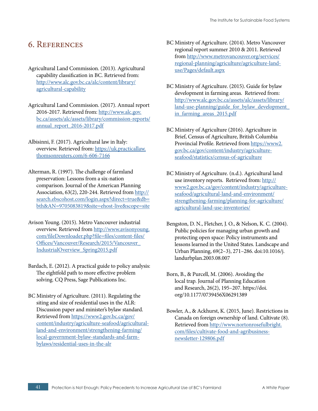# <span id="page-40-0"></span>6. References

- Agricultural Land Commission. (2013). Agricultural capability classification in BC. Retrieved from: [http://www.alc.gov.bc.ca/alc/content/library/](http://www.alc.gov.bc.ca/alc/content/library/agricultural-capability) [agricultural-capability](http://www.alc.gov.bc.ca/alc/content/library/agricultural-capability)
- Agricultural Land Commission. (2017). Annual report 2016-2017. Retrieved from: [http://www.alc.gov.](http://www.alc.gov.bc.ca/assets/alc/assets/library/commission-reports/annual_report_2016-2017.pdf) [bc.ca/assets/alc/assets/library/commission-reports/](http://www.alc.gov.bc.ca/assets/alc/assets/library/commission-reports/annual_report_2016-2017.pdf) [annual\\_report\\_2016-2017.pdf](http://www.alc.gov.bc.ca/assets/alc/assets/library/commission-reports/annual_report_2016-2017.pdf)
- Albisinni, F. (2017). Agricultural law in Italy: overview. Retrieved from: [https://uk.practicallaw.](https://uk.practicallaw.thomsonreuters.com/6-606-7166) [thomsonreuters.com/6-606-7166](https://uk.practicallaw.thomsonreuters.com/6-606-7166)
- Alterman, R. (1997). The challenge of farmland preservation: Lessons from a six-nation comparison. Journal of the American Planning Association, 63(2), 220-244. Retrieved from [http://](http://search.ebscohost.com/login.aspx?direct=true&db=bth&AN=9705083819&site=ehost-live&scope=site) [search.ebscohost.com/login.aspx?direct=true&db=](http://search.ebscohost.com/login.aspx?direct=true&db=bth&AN=9705083819&site=ehost-live&scope=site) [bth&AN=9705083819&site=ehost-live&scope=site](http://search.ebscohost.com/login.aspx?direct=true&db=bth&AN=9705083819&site=ehost-live&scope=site)
- Avison Young. (2015). Metro Vancouver industrial overview. Retrieved from [http://www.avisonyoung.](http://www.avisonyoung.com/fileDownloader.php?file=files/content-files/Offices/Vancouver/Research/2015/Vancouver_IndustrialOverview_Spring2015.pdf) [com/fileDownloader.php?file=files/content-files/](http://www.avisonyoung.com/fileDownloader.php?file=files/content-files/Offices/Vancouver/Research/2015/Vancouver_IndustrialOverview_Spring2015.pdf) [Offices/Vancouver/Research/2015/Vancouver\\_](http://www.avisonyoung.com/fileDownloader.php?file=files/content-files/Offices/Vancouver/Research/2015/Vancouver_IndustrialOverview_Spring2015.pdf) [IndustrialOverview\\_Spring2015.pdf](http://www.avisonyoung.com/fileDownloader.php?file=files/content-files/Offices/Vancouver/Research/2015/Vancouver_IndustrialOverview_Spring2015.pdf)
- Bardach, E. (2012). A practical guide to policy analysis: The eightfold path to more effective problem solving. CQ Press, Sage Publications Inc.
- BC Ministry of Agriculture. (2011). Regulating the siting and size of residential uses in the ALR: Discussion paper and minister's bylaw standard. Retrieved from [https://www2.gov.bc.ca/gov/](https://www2.gov.bc.ca/gov/content/industry/agriculture-seafood/agricultural-land-and-environment/strengthening-farming/local-government-bylaw-standards-and-farm-bylaws/residential-uses-in-the-alr) [content/industry/agriculture-seafood/agricultural](https://www2.gov.bc.ca/gov/content/industry/agriculture-seafood/agricultural-land-and-environment/strengthening-farming/local-government-bylaw-standards-and-farm-bylaws/residential-uses-in-the-alr)[land-and-environment/strengthening-farming/](https://www2.gov.bc.ca/gov/content/industry/agriculture-seafood/agricultural-land-and-environment/strengthening-farming/local-government-bylaw-standards-and-farm-bylaws/residential-uses-in-the-alr) [local-government-bylaw-standards-and-farm](https://www2.gov.bc.ca/gov/content/industry/agriculture-seafood/agricultural-land-and-environment/strengthening-farming/local-government-bylaw-standards-and-farm-bylaws/residential-uses-in-the-alr)[bylaws/residential-uses-in-the-alr](https://www2.gov.bc.ca/gov/content/industry/agriculture-seafood/agricultural-land-and-environment/strengthening-farming/local-government-bylaw-standards-and-farm-bylaws/residential-uses-in-the-alr)
- BC Ministry of Agriculture. (2014). Metro Vancouver regional report summer 2010 & 2011. Retrieved from [http://www.metrovancouver.org/services/](http://www.metrovancouver.org/services/regional-planning/agriculture/agriculture-land-use/Pages/default.aspx) [regional-planning/agriculture/agriculture-land](http://www.metrovancouver.org/services/regional-planning/agriculture/agriculture-land-use/Pages/default.aspx)[use/Pages/default.aspx](http://www.metrovancouver.org/services/regional-planning/agriculture/agriculture-land-use/Pages/default.aspx)
- BC Ministry of Agriculture. (2015). Guide for bylaw development in farming areas. Retrieved from: [http://www.alc.gov.bc.ca/assets/alc/assets/library/](http://www.alc.gov.bc.ca/assets/alc/assets/library/land-use-planning/guide_for_bylaw_development_in_farming_areas_2015.pdf) land-use-planning/guide for bylaw development [in\\_farming\\_areas\\_2015.pdf](http://www.alc.gov.bc.ca/assets/alc/assets/library/land-use-planning/guide_for_bylaw_development_in_farming_areas_2015.pdf)
- BC Ministry of Agriculture (2016). Agriculture in Brief, Census of Agriculture, British Columbia Provincial Profile. Retrieved from [https://www2.](https://www2.gov.bc.ca/gov/content/industry/agriculture-seafood/statistics/census-of-agriculture) [gov.bc.ca/gov/content/industry/agriculture](https://www2.gov.bc.ca/gov/content/industry/agriculture-seafood/statistics/census-of-agriculture)[seafood/statistics/census-of-agriculture](https://www2.gov.bc.ca/gov/content/industry/agriculture-seafood/statistics/census-of-agriculture)
- BC Ministry of Agriculture. (n.d.). Agricultural land use inventory reports. Retrieved from: [http://](http://www2.gov.bc.ca/gov/content/industry/agriculture-seafood/agricultural-land-and-environment/strengthening-farming/planning-for-agriculture/agricultural-land-use-inventories/) [www2.gov.bc.ca/gov/content/industry/agriculture](http://www2.gov.bc.ca/gov/content/industry/agriculture-seafood/agricultural-land-and-environment/strengthening-farming/planning-for-agriculture/agricultural-land-use-inventories/)[seafood/agricultural-land-and-environment/](http://www2.gov.bc.ca/gov/content/industry/agriculture-seafood/agricultural-land-and-environment/strengthening-farming/planning-for-agriculture/agricultural-land-use-inventories/) [strengthening-farming/planning-for-agriculture/](http://www2.gov.bc.ca/gov/content/industry/agriculture-seafood/agricultural-land-and-environment/strengthening-farming/planning-for-agriculture/agricultural-land-use-inventories/) [agricultural-land-use-inventories/](http://www2.gov.bc.ca/gov/content/industry/agriculture-seafood/agricultural-land-and-environment/strengthening-farming/planning-for-agriculture/agricultural-land-use-inventories/)
- Bengston, D. N., Fletcher, J. O., & Nelson, K. C. (2004). Public policies for managing urban growth and protecting open space: Policy instruments and lessons learned in the United States. Landscape and Urban Planning, 69(2–3), 271–286. doi:10.1016/j. landurbplan.2003.08.007
- Born, B., & Purcell, M. (2006). Avoiding the local trap. Journal of Planning Education and Research, 26(2), 195–207. https://doi. org/10.1177/0739456X06291389
- Bowler, A., & Ackhurst, K. (2015, June). Restrictions in Canada on foreign ownership of land. Cultivate (8). Retrieved from [http://www.nortonrosefulbright.](http://www.nortonrosefulbright.com/files/cultivate-food-and-agribusiness-newsletter-129806.pdf) [com/files/cultivate-food-and-agribusiness](http://www.nortonrosefulbright.com/files/cultivate-food-and-agribusiness-newsletter-129806.pdf)[newsletter-129806.pdf](http://www.nortonrosefulbright.com/files/cultivate-food-and-agribusiness-newsletter-129806.pdf)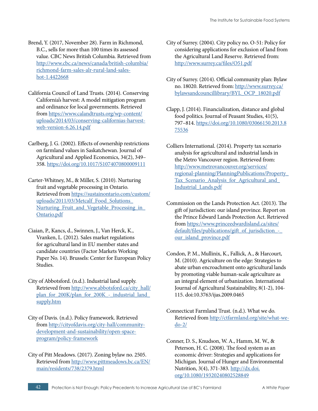- Brend, Y. (2017, November 28). Farm in Richmond, B.C., sells for more than 100 times its assessed value. CBC News British Columbia. Retrieved from [http://www.cbc.ca/news/canada/british-columbia/](http://www.cbc.ca/news/canada/british-columbia/richmond-farm-sales-alr-rural-land-sales-hot-1.4422668) [richmond-farm-sales-alr-rural-land-sales](http://www.cbc.ca/news/canada/british-columbia/richmond-farm-sales-alr-rural-land-sales-hot-1.4422668)[hot-1.4422668](http://www.cbc.ca/news/canada/british-columbia/richmond-farm-sales-alr-rural-land-sales-hot-1.4422668)
- California Council of Land Trusts. (2014). Conserving California's harvest: A model mitigation program and ordinance for local governments. Retrieved from [https://www.calandtrusts.org/wp-content/](https://www.calandtrusts.org/wp-content/uploads/2014/03/conserving-californias-harvest-web-version-6.26.14.pdf) [uploads/2014/03/conserving-californias-harvest](https://www.calandtrusts.org/wp-content/uploads/2014/03/conserving-californias-harvest-web-version-6.26.14.pdf)[web-version-6.26.14.pdf](https://www.calandtrusts.org/wp-content/uploads/2014/03/conserving-californias-harvest-web-version-6.26.14.pdf)
- Carlberg, J. G. (2002). Effects of ownership restrictions on farmland values in Saskatchewan. Journal of Agricultural and Applied Economics, 34(2), 349– 358.<https://doi.org/10.1017/S1074070800009111>
- Carter-Whitney, M., & Miller, S. (2010). Nurturing fruit and vegetable processing in Ontario. Retrieved from [https://sustainontario.com/custom/](https://sustainontario.com/custom/uploads/2011/03/Metcalf_Food_Solutions_Nurturing_Fruit_and_Vegetable_Processing_in_Ontario.pdf) [uploads/2011/03/Metcalf\\_Food\\_Solutions\\_](https://sustainontario.com/custom/uploads/2011/03/Metcalf_Food_Solutions_Nurturing_Fruit_and_Vegetable_Processing_in_Ontario.pdf) Nurturing Fruit and Vegetable Processing in [Ontario.pdf](https://sustainontario.com/custom/uploads/2011/03/Metcalf_Food_Solutions_Nurturing_Fruit_and_Vegetable_Processing_in_Ontario.pdf)
- Ciaian, P., Kancs, d., Swinnen, J., Van Herck, K., Vranken, L. (2012). Sales market regulations for agricultural land in EU member states and candidate countries (Factor Markets Working Paper No. 14). Brussels: Center for European Policy Studies.
- City of Abbotsford. (n.d.). Industrial land supply. Retrieved from [http://www.abbotsford.ca/city\\_hall/](http://www.abbotsford.ca/city_hall/plan_for_200K/plan_for_200K_-_industrial_land_supply.htm) plan\_for\_200K/plan\_for\_200K\_-\_industrial\_land [supply.htm](http://www.abbotsford.ca/city_hall/plan_for_200K/plan_for_200K_-_industrial_land_supply.htm)
- City of Davis. (n.d.). Policy framework. Retrieved from [http://cityofdavis.org/city-hall/community](http://cityofdavis.org/city-hall/community-development-and-sustainability/open-space-program/policy-framework)[development-and-sustainability/open-space](http://cityofdavis.org/city-hall/community-development-and-sustainability/open-space-program/policy-framework)[program/policy-framework](http://cityofdavis.org/city-hall/community-development-and-sustainability/open-space-program/policy-framework)
- City of Pitt Meadows. (2017). Zoning bylaw no. 2505. Retrieved from [http://www.pittmeadows.bc.ca/EN/](http://www.pittmeadows.bc.ca/EN/main/residents/738/2379.html) [main/residents/738/2379.html](http://www.pittmeadows.bc.ca/EN/main/residents/738/2379.html)
- City of Surrey. (2004). City policy no. O-51: Policy for considering applications for exclusion of land from the Agricultural Land Reserve. Retrieved from: <http://www.surrey.ca/files/O51.pdf>
- City of Surrey. (2014). Official community plan: Bylaw no. 18020. Retrieved from: [http://www.surrey.ca/](http://www.surrey.ca/bylawsandcouncillibrary/BYL_OCP_18020.pdf) [bylawsandcouncillibrary/BYL\\_OCP\\_18020.pdf](http://www.surrey.ca/bylawsandcouncillibrary/BYL_OCP_18020.pdf)
- Clapp, J. (2014). Financialization, distance and global food politics. Journal of Peasant Studies, 41(5), 797–814. [https://doi.org/10.1080/03066150.2013.8](https://doi.org/10.1080/03066150.2013.875536) [75536](https://doi.org/10.1080/03066150.2013.875536)
- Colliers International. (2014). Property tax scenario analysis for agricultural and industrial lands in the Metro Vancouver region. Retrieved from: [http://www.metrovancouver.org/services/](http://www.metrovancouver.org/services/regional-planning/PlanningPublications/Property_Tax_Scenario_Analysis_for_Agricultural_and_Industrial_Lands.pdf) [regional-planning/PlanningPublications/Property\\_](http://www.metrovancouver.org/services/regional-planning/PlanningPublications/Property_Tax_Scenario_Analysis_for_Agricultural_and_Industrial_Lands.pdf) Tax Scenario Analysis for Agricultural and [Industrial\\_Lands.pdf](http://www.metrovancouver.org/services/regional-planning/PlanningPublications/Property_Tax_Scenario_Analysis_for_Agricultural_and_Industrial_Lands.pdf)
- Commission on the Lands Protection Act. (2013). The gift of jurisdiction: our island province. Report on the Prince Edward Lands Protection Act. Retrieved from [https://www.princeedwardisland.ca/sites/](https://www.princeedwardisland.ca/sites/default/files/publications/gift_of_jurisdiction_-_our_island_province.pdf) default/files/publications/gift\_of\_jurisdiction [our\\_island\\_province.pdf](https://www.princeedwardisland.ca/sites/default/files/publications/gift_of_jurisdiction_-_our_island_province.pdf)
- Condon, P. M., Mullinix, K., Fallick, A., & Harcourt, M. (2010). Agriculture on the edge: Strategies to abate urban encroachment onto agricultural lands by promoting viable human-scale agriculture as an integral element of urbanization. International Journal of Agricultural Sustainability, 8(1-2), 104- 115. doi:10.3763/ijas.2009.0465
- Connecticut Farmland Trust. (n.d.). What we do. Retrieved from [http://ctfarmland.org/site/what-we](http://ctfarmland.org/site/what-we-do-2/)[do-2/](http://ctfarmland.org/site/what-we-do-2/)

Conner, D. S., Knudson, W. A., Hamm, M. W., & Peterson, H. C. (2008). The food system as an economic driver: Strategies and applications for Michigan. Journal of Hunger and Environmental Nutrition, 3(4), 371-383. [http://dx.doi.](http://dx.doi.org/10.1080/19320240802528849) [org/10.1080/19320240802528849](http://dx.doi.org/10.1080/19320240802528849)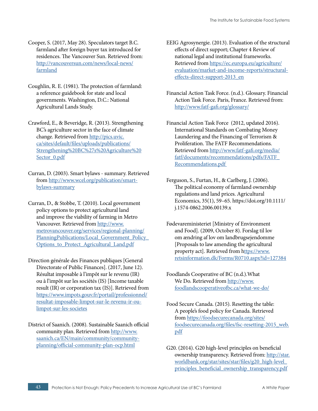- Cooper, S. (2017, May 28). Speculators target B.C. farmland after foreign buyer tax introduced for residences. The Vancouver Sun. Retrieved from: [http://vancouversun.com/news/local-news/](http://vancouversun.com/news/local-news/farmland) [farmland](http://vancouversun.com/news/local-news/farmland)
- Coughlin, R. E. (1981). The protection of farmland: a reference guidebook for state and local governments. Washington, D.C.: National Agricultural Lands Study.
- Crawford, E., & Beveridge, R. (2013). Strengthening BC's agriculture sector in the face of climate change. Retrieved from [http://pics.uvic.](http://pics.uvic.ca/sites/default/files/uploads/publications/Strengthening%20BC%27s%20Agriculture%20Sector_0.pdf) [ca/sites/default/files/uploads/publications/](http://pics.uvic.ca/sites/default/files/uploads/publications/Strengthening%20BC%27s%20Agriculture%20Sector_0.pdf) [Strengthening%20BC%27s%20Agriculture%20](http://pics.uvic.ca/sites/default/files/uploads/publications/Strengthening%20BC%27s%20Agriculture%20Sector_0.pdf) [Sector\\_0.pdf](http://pics.uvic.ca/sites/default/files/uploads/publications/Strengthening%20BC%27s%20Agriculture%20Sector_0.pdf)
- Curran, D. (2003). Smart bylaws summary. Retrieved from [http://www.wcel.org/publication/smart](http://www.wcel.org/publication/smart-bylaws-summary)[bylaws-summary](http://www.wcel.org/publication/smart-bylaws-summary)
- Curran, D., & Stobbe, T. (2010). Local government policy options to protect agricultural land and improve the viability of farming in Metro Vancouver. Retrieved from [http://www.](http://www.metrovancouver.org/services/regional-planning/PlanningPublications/Local_Government_Policy_Options_to_Protect_Agricultural_Land.pdf) [metrovancouver.org/services/regional-planning/](http://www.metrovancouver.org/services/regional-planning/PlanningPublications/Local_Government_Policy_Options_to_Protect_Agricultural_Land.pdf) [PlanningPublications/Local\\_Government\\_Policy\\_](http://www.metrovancouver.org/services/regional-planning/PlanningPublications/Local_Government_Policy_Options_to_Protect_Agricultural_Land.pdf) [Options\\_to\\_Protect\\_Agricultural\\_Land.pdf](http://www.metrovancouver.org/services/regional-planning/PlanningPublications/Local_Government_Policy_Options_to_Protect_Agricultural_Land.pdf)
- Direction générale des Finances publiques [General Directorate of Public Finances]. (2017, June 12). Résultat imposable à l'impôt sur le revenu (IR) ou à l'impôt sur les sociétés (IS) [Income taxable result (IR) or corporation tax (IS)]. Retrieved from [https://www.impots.gouv.fr/portail/professionnel/](https://www.impots.gouv.fr/portail/professionnel/resultat-imposable-limpot-sur-le-revenu-ir-ou-limpot-sur-les-societes) [resultat-imposable-limpot-sur-le-revenu-ir-ou](https://www.impots.gouv.fr/portail/professionnel/resultat-imposable-limpot-sur-le-revenu-ir-ou-limpot-sur-les-societes)[limpot-sur-les-societes](https://www.impots.gouv.fr/portail/professionnel/resultat-imposable-limpot-sur-le-revenu-ir-ou-limpot-sur-les-societes)
- District of Saanich. (2008). Sustainable Saanich official community plan. Retrieved from [http://www.](http://www.saanich.ca/EN/main/community/community-planning/official-community-plan-ocp.html) [saanich.ca/EN/main/community/community](http://www.saanich.ca/EN/main/community/community-planning/official-community-plan-ocp.html)[planning/official-community-plan-ocp.html](http://www.saanich.ca/EN/main/community/community-planning/official-community-plan-ocp.html)
- EEIG Agrosynergie. (2013). Evaluation of the structural effects of direct support; Chapter 4 Review of national legal and institutional frameworks. Retrieved from [https://ec.europa.eu/agriculture/](https://ec.europa.eu/agriculture/evaluation/market-and-income-reports/structural-effects-direct-support-2013_en) [evaluation/market-and-income-reports/structural](https://ec.europa.eu/agriculture/evaluation/market-and-income-reports/structural-effects-direct-support-2013_en)[effects-direct-support-2013\\_en](https://ec.europa.eu/agriculture/evaluation/market-and-income-reports/structural-effects-direct-support-2013_en)
- Financial Action Task Force. (n.d.). Glossary. Financial Action Task Force. Paris, France. Retrieved from: <http://www.fatf-gafi.org/glossary/>
- Financial Action Task Force (2012, updated 2016). International Standards on Combating Money Laundering and the Financing of Terrorism & Proliferation. The FATF Recommendations. Retrieved from [http://www.fatf-gafi.org/media/](http://www.fatf-gafi.org/media/fatf/documents/recommendations/pdfs/FATF_Recommendations.pdf ) [fatf/documents/recommendations/pdfs/FATF\\_](http://www.fatf-gafi.org/media/fatf/documents/recommendations/pdfs/FATF_Recommendations.pdf ) [Recommendations.pdf](http://www.fatf-gafi.org/media/fatf/documents/recommendations/pdfs/FATF_Recommendations.pdf )
- Ferguson, S., Furtan, H., & Carlberg, J. (2006). The political economy of farmland ownership regulations and land prices. Agricultural Economics, 35(1), 59–65. https://doi.org/10.1111/ j.1574-0862.2006.00139.x
- Fødevareministeriet [Ministry of Environment and Food]. (2009, October 8). Forslag til lov om ændring af lov om landbrugsejendomme [Proposals to law amending the agricultural property act]. Retrieved from [https://www.](ttps://www.retsinformation.dk/Forms/R0710.aspx?id=127384) [retsinformation.dk/Forms/R0710.aspx?id=127384](ttps://www.retsinformation.dk/Forms/R0710.aspx?id=127384)
- Foodlands Cooperative of BC (n.d.).What We Do. Retrieved from [http://www.](http://www.foodlandscooperativeofbc.ca/what-we-do/) [foodlandscooperativeofbc.ca/what-we-do/](http://www.foodlandscooperativeofbc.ca/what-we-do/)
- Food Secure Canada. (2015). Resetting the table: A people's food policy for Canada. Retrieved from [https://foodsecurecanada.org/sites/](https://foodsecurecanada.org/sites/foodsecurecanada.org/files/fsc-resetting-2015_web.pdf) [foodsecurecanada.org/files/fsc-resetting-2015\\_web.](https://foodsecurecanada.org/sites/foodsecurecanada.org/files/fsc-resetting-2015_web.pdf) [pdf](https://foodsecurecanada.org/sites/foodsecurecanada.org/files/fsc-resetting-2015_web.pdf)
- G20. (2014). G20 high-level principles on beneficial ownership transparency. Retrieved from: [http://star.](http://star.worldbank.org/star/sites/star/files/g20_high-level_principles_beneficial_ownership_transparency.pdf) [worldbank.org/star/sites/star/files/g20\\_high-level\\_](http://star.worldbank.org/star/sites/star/files/g20_high-level_principles_beneficial_ownership_transparency.pdf) [principles\\_beneficial\\_ownership\\_transparency.pdf](http://star.worldbank.org/star/sites/star/files/g20_high-level_principles_beneficial_ownership_transparency.pdf)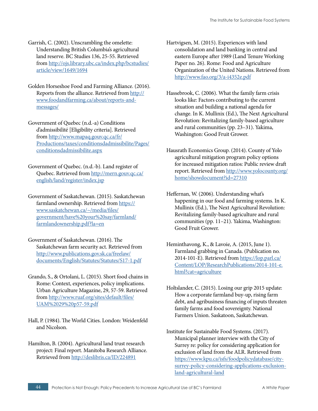Garrish, C. (2002). Unscrambling the omelette: Understanding British Columbia's agricultural land reserve. BC Studies 136, 25-55. Retrieved from [http://ojs.library.ubc.ca/index.php/bcstudies/](http://ojs.library.ubc.ca/index.php/bcstudies/article/view/1649/1694) [article/view/1649/1694](http://ojs.library.ubc.ca/index.php/bcstudies/article/view/1649/1694)

- Golden Horseshoe Food and Farming Alliance. (2016). Reports from the alliance. Retrieved from [http://](http://www.foodandfarming.ca/about/reports-and-messages/) [www.foodandfarming.ca/about/reports-and](http://www.foodandfarming.ca/about/reports-and-messages/)[messages/](http://www.foodandfarming.ca/about/reports-and-messages/)
- Government of Quebec (n.d.-a) Conditions d'admissibilité [Eligibility criteria]. Retrieved from [http://www.mapaq.gouv.qc.ca/fr/](http://www.mapaq.gouv.qc.ca/fr/Productions/taxes/conditionsdadmissibilite/Pages/conditionsdadmissibilite.aspx) [Productions/taxes/conditionsdadmissibilite/Pages/](http://www.mapaq.gouv.qc.ca/fr/Productions/taxes/conditionsdadmissibilite/Pages/conditionsdadmissibilite.aspx) [conditionsdadmissibilite.aspx](http://www.mapaq.gouv.qc.ca/fr/Productions/taxes/conditionsdadmissibilite/Pages/conditionsdadmissibilite.aspx)
- Government of Quebec. (n.d.-b). Land register of Quebec. Retrieved from [http://mern.gouv.qc.ca/](http://mern.gouv.qc.ca/english/land/register/index.jsp) [english/land/register/index.jsp](http://mern.gouv.qc.ca/english/land/register/index.jsp)
- Government of Saskatchewan. (2015). Saskatchewan farmland ownership. Retrieved from [https://](https://www.saskatchewan.ca/~/media/files/government/have%20your%20say/farmland/farmlandownership.pdf?la=en) [www.saskatchewan.ca/~/media/files/](https://www.saskatchewan.ca/~/media/files/government/have%20your%20say/farmland/farmlandownership.pdf?la=en) [government/have%20your%20say/farmland/](https://www.saskatchewan.ca/~/media/files/government/have%20your%20say/farmland/farmlandownership.pdf?la=en) [farmlandownership.pdf?la=en](https://www.saskatchewan.ca/~/media/files/government/have%20your%20say/farmland/farmlandownership.pdf?la=en)
- Government of Saskatchewan. (2016). The Saskatchewan farm security act. Retrieved from [http://www.publications.gov.sk.ca/freelaw/](http://www.publications.gov.sk.ca/freelaw/documents/English/Statutes/Statutes/S17-1.pdf) [documents/English/Statutes/Statutes/S17-1.pdf](http://www.publications.gov.sk.ca/freelaw/documents/English/Statutes/Statutes/S17-1.pdf)
- Grando, S., & Ortolani, L. (2015). Short food chains in Rome: Context, experiences, policy implications. Urban Agriculture Magazine, 29, 57-59. Retrieved from [http://www.ruaf.org/sites/default/files/](http://www.ruaf.org/sites/default/files/UAM%2029%20p57-59.pdf) [UAM%2029%20p57-59.pdf](http://www.ruaf.org/sites/default/files/UAM%2029%20p57-59.pdf)
- Hall, P. (1984). The World Cities. London: Weidenfeld and Nicolson.
- Hamilton, B. (2004). Agricultural land trust research project: Final report. Manitoba Research Alliance. Retrieved from<http://deslibris.ca/ID/224891>

Hartvigsen, M. (2015). Experiences with land consolidation and land banking in central and eastern Europe after 1989 (Land Tenure Working Paper no. 26). Rome: Food and Agriculture Organization of the United Nations. Retrieved from <http://www.fao.org/3/a-i4352e.pdf>

- Hassebrook, C. (2006). What the family farm crisis looks like: Factors contributing to the current situation and building a national agenda for change. In K. Mullinix (Ed.), The Next Agricultural Revolution: Revitalizing family-based agriculture and rural communities (pp. 23–31). Yakima, Washington: Good Fruit Grower.
- Hausrath Economics Group. (2014). County of Yolo agricultural mitigation program policy options for increased mitigation ratios: Public review draft report. Retrieved from [http://www.yolocounty.org/](http://www.yolocounty.org/home/showdocument?id=27310) [home/showdocument?id=27310](http://www.yolocounty.org/home/showdocument?id=27310)
- Heffernan, W. (2006). Understanding what's happening in our food and farming systems. In K. Mullinix (Ed.), The Next Agricultural Revolution: Revitalizing family-based agriculture and rural communities (pp. 11–21). Yakima, Washington: Good Fruit Grower.
- Heminthavong, K., & Lavoie, A. (2015, June 1). Farmland grabbing in Canada. (Publication no. 2014-101-E). Retrieved from [https://lop.parl.ca/](https://lop.parl.ca/Content/LOP/ResearchPublications/2014-101-e.html?cat=agriculture) [Content/LOP/ResearchPublications/2014-101-e.](https://lop.parl.ca/Content/LOP/ResearchPublications/2014-101-e.html?cat=agriculture) [html?cat=agriculture](https://lop.parl.ca/Content/LOP/ResearchPublications/2014-101-e.html?cat=agriculture)
- Holtslander, C. (2015). Losing our grip 2015 update: How a corporate farmland buy-up, rising farm debt, and agribusiness financing of inputs threaten family farms and food sovereignty. National Farmers Union. Saskatoon, Saskatchewan.
- Institute for Sustainable Food Systems. (2017). Municipal planner interview with the City of Surrey re: policy for considering application for exclusion of land from the ALR. Retrieved from [https://www.kpu.ca/isfs/foodpolicydatabase/city](https://www.kpu.ca/isfs/foodpolicydatabase/city-surrey-policy-considering-applications-exclusion-land-agricultural-land)[surrey-policy-considering-applications-exclusion](https://www.kpu.ca/isfs/foodpolicydatabase/city-surrey-policy-considering-applications-exclusion-land-agricultural-land)[land-agricultural-land](https://www.kpu.ca/isfs/foodpolicydatabase/city-surrey-policy-considering-applications-exclusion-land-agricultural-land)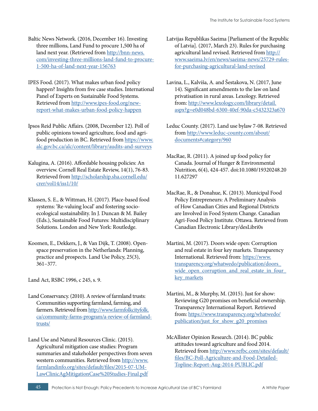- Baltic News Network. (2016, December 16). Investing three millions, Land Fund to procure 1,500 ha of land next year. (Retrieved from [http://bnn-news.](http://bnn-news.com/investing-three-millions-land-fund-to-procure-1-500-ha-of-land-next-year-156763) [com/investing-three-millions-land-fund-to-procure-](http://bnn-news.com/investing-three-millions-land-fund-to-procure-1-500-ha-of-land-next-year-156763)[1-500-ha-of-land-next-year-156763](http://bnn-news.com/investing-three-millions-land-fund-to-procure-1-500-ha-of-land-next-year-156763)
- IPES Food. (2017). What makes urban food policy happen? Insights from five case studies. International Panel of Experts on Sustainable Food Systems. Retrieved from [http://www.ipes-food.org/new](http://www.ipes-food.org/new-report-what-makes-urban-food-policy-happen)[report-what-makes-urban-food-policy-happen](http://www.ipes-food.org/new-report-what-makes-urban-food-policy-happen)
- Ipsos Reid Public Affairs. (2008, December 12). Poll of public opinions toward agriculture, food and agrifood production in BC. Retrieved from [https://www.](https://www.alc.gov.bc.ca/alc/content/library/audits-and-surveys) [alc.gov.bc.ca/alc/content/library/audits-and-surveys](https://www.alc.gov.bc.ca/alc/content/library/audits-and-surveys)
- Kalugina, A. (2016). Affordable housing policies: An overview. Cornell Real Estate Review, 14(1), 76-83. Retrieved from [http://scholarship.sha.cornell.edu/](http://scholarship.sha.cornell.edu/crer/vol14/iss1/10/) [crer/vol14/iss1/10/](http://scholarship.sha.cornell.edu/crer/vol14/iss1/10/)
- Klassen, S. E., & Wittman, H. (2017). Place-based food systems: 'Re-valuing local' and fostering socioecological sustainability. In J. Duncan & M. Bailey (Eds.), Sustainable Food Futures: Multidisciplinary Solutions. London and New York: Routledge.
- Koomen, E., Dekkers, J., & Van Dijk, T. (2008). Openspace preservation in the Netherlands: Planning, practice and prospects. Land Use Policy, 25(3), 361–377.

Land Act, RSBC 1996, c 245, s. 9.

- Land Conservancy. (2010). A review of farmland trusts: Communities supporting farmland, farming, and farmers. Retrieved from [http://www.farmfolkcityfolk.](http://www.farmfolkcityfolk.ca/community-farms-program/a-review-of-farmland-trusts/) [ca/community-farms-program/a-review-of-farmland](http://www.farmfolkcityfolk.ca/community-farms-program/a-review-of-farmland-trusts/)[trusts/](http://www.farmfolkcityfolk.ca/community-farms-program/a-review-of-farmland-trusts/)
- Land Use and Natural Resources Clinic. (2015). Agricultural mitigation case studies: Program summaries and stakeholder perspectives from seven western communities. Retrieved from [http://www.](http://www.farmlandinfo.org/sites/default/files/2015-07-UM-LawClinicAgMitigationCase%20Studies-Final.pdf) [farmlandinfo.org/sites/default/files/2015-07-UM-](http://www.farmlandinfo.org/sites/default/files/2015-07-UM-LawClinicAgMitigationCase%20Studies-Final.pdf)[LawClinicAgMitigationCase%20Studies-Final.pdf](http://www.farmlandinfo.org/sites/default/files/2015-07-UM-LawClinicAgMitigationCase%20Studies-Final.pdf)
- Latvijas Republikas Saeima [Parliament of the Republic of Latvia]. (2017, March 23). Rules for purchasing agricultural land revised. Retrieved from [http://](http://www.saeima.lv/en/news/saeima-news/25729-rules-for-purchasing-agricultural-land-revised) [www.saeima.lv/en/news/saeima-news/25729-rules](http://www.saeima.lv/en/news/saeima-news/25729-rules-for-purchasing-agricultural-land-revised)[for-purchasing-agricultural-land-revised](http://www.saeima.lv/en/news/saeima-news/25729-rules-for-purchasing-agricultural-land-revised)
- Lavina, L., Kalviša, A. and Šestakova, N. (2017, June 14). Significant amendments to the law on land privatisation in rural areas. Lexology. Retrieved from: [http://www.lexology.com/library/detail.](http://www.lexology.com/library/detail.aspx?g=e0d048bd-6300-40ef-90da-c5432323a670) [aspx?g=e0d048bd-6300-40ef-90da-c5432323a670](http://www.lexology.com/library/detail.aspx?g=e0d048bd-6300-40ef-90da-c5432323a670)
- Leduc County. (2017). Land use bylaw 7-08. Retrieved from [http://www.leduc-county.com/about/](http://www.leduc-county.com/about/documents#category/960) [documents#category/960](http://www.leduc-county.com/about/documents#category/960)
- MacRae, R. (2011). A joined up food policy for Canada. Journal of Hunger & Environmental Nutrition, 6(4), 424-457. doi:10.1080/19320248.20 11.627297
- MacRae, R., & Donahue, K. (2013). Municipal Food Policy Entrepreneurs: A Preliminary Analysis of How Canadian Cities and Regional Districts are Involved in Food System Change. Canadian Agri-Food Policy Institute. Ottawa. Retrieved from Canadian Electronic Library/desLibri0s
- Martini, M. (2017). Doors wide open: Corruption and real estate in four key markets. Transparency International. Retrieved from: [https://www.](https://www.transparency.org/whatwedo/publication/doors_wide_open_corruption_and_real_estate_in_four_key_markets) [transparency.org/whatwedo/publication/doors\\_](https://www.transparency.org/whatwedo/publication/doors_wide_open_corruption_and_real_estate_in_four_key_markets) wide open corruption and real estate in four key markets
- Martini, M., & Murphy, M. (2015). Just for show: Reviewing G20 promises on beneficial ownership. Transparency International Report. Retrieved from: [https://www.transparency.org/whatwedo/](https://www.transparency.org/whatwedo/publication/just_for_show_g20_promises) [publication/just\\_for\\_show\\_g20\\_promises](https://www.transparency.org/whatwedo/publication/just_for_show_g20_promises)
- McAllister Opinion Research. (2014). BC public attitudes toward agriculture and food 2014. Retrieved from [http://www.refbc.com/sites/default/](http://www.refbc.com/sites/default/files/BC-Poll-Agriculture-and-Food-Detailed-Topline-Report-Aug-2014-PUBLIC.pdf) [files/BC-Poll-Agriculture-and-Food-Detailed-](http://www.refbc.com/sites/default/files/BC-Poll-Agriculture-and-Food-Detailed-Topline-Report-Aug-2014-PUBLIC.pdf)[Topline-Report-Aug-2014-PUBLIC.pdf](http://www.refbc.com/sites/default/files/BC-Poll-Agriculture-and-Food-Detailed-Topline-Report-Aug-2014-PUBLIC.pdf)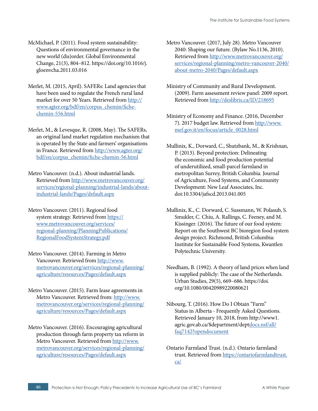- McMichael, P. (2011). Food system sustainability: Questions of environmental governance in the new world (dis)order. Global Environmental Change, 21(3), 804–812. https://doi.org/10.1016/j. gloenvcha.2011.03.016
- Merlet, M. (2015, April). SAFERs: Land agencies that have been used to regulate the French rural land market for over 50 Years. Retrieved from [http://](http://www.agter.org/bdf/en/corpus_chemin/fiche-chemin-556.html) [www.agter.org/bdf/en/corpus\\_chemin/fiche](http://www.agter.org/bdf/en/corpus_chemin/fiche-chemin-556.html)[chemin-556.html](http://www.agter.org/bdf/en/corpus_chemin/fiche-chemin-556.html)
- Merlet, M., & Levesque, R. (2008, May). The SAFERs, an original land market regulation mechanism that is operated by the State and farmers' organisations in France. Retrieved from [http://www.agter.org/](http://www.agter.org/bdf/en/corpus_chemin/fiche-chemin-56.html) [bdf/en/corpus\\_chemin/fiche-chemin-56.html](http://www.agter.org/bdf/en/corpus_chemin/fiche-chemin-56.html)
- Metro Vancouver. (n.d.). About industrial lands. Retrieved from [http://www.metrovancouver.org/](http://www.metrovancouver.org/services/regional-planning/industrial-lands/about-industrial-lands/Pages/default.aspx) [services/regional-planning/industrial-lands/about](http://www.metrovancouver.org/services/regional-planning/industrial-lands/about-industrial-lands/Pages/default.aspx)[industrial-lands/Pages/default.aspx](http://www.metrovancouver.org/services/regional-planning/industrial-lands/about-industrial-lands/Pages/default.aspx)
- Metro Vancouver. (2011). Regional food system strategy. Retrieved from [https://](https://www.metrovancouver.org/services/regional-planning/PlanningPublications/RegionalFoodSystemStrategy.pdf) [www.metrovancouver.org/services/](https://www.metrovancouver.org/services/regional-planning/PlanningPublications/RegionalFoodSystemStrategy.pdf) [regional-planning/PlanningPublications/](https://www.metrovancouver.org/services/regional-planning/PlanningPublications/RegionalFoodSystemStrategy.pdf) [RegionalFoodSystemStrategy.pdf](https://www.metrovancouver.org/services/regional-planning/PlanningPublications/RegionalFoodSystemStrategy.pdf)
- Metro Vancouver. (2014). Farming in Metro Vancouver. Retrieved from [http://www.](http://www.metrovancouver.org/services/regional-planning/agriculture/resources/Pages/default.aspx) [metrovancouver.org/services/regional-planning/](http://www.metrovancouver.org/services/regional-planning/agriculture/resources/Pages/default.aspx) [agriculture/resources/Pages/default.aspx](http://www.metrovancouver.org/services/regional-planning/agriculture/resources/Pages/default.aspx)
- Metro Vancouver. (2015). Farm lease agreements in Metro Vancouver. Retrieved from: [http://www.](http://www.metrovancouver.org/services/regional-planning/agriculture/resources/Pages/default.aspx) [metrovancouver.org/services/regional-planning/](http://www.metrovancouver.org/services/regional-planning/agriculture/resources/Pages/default.aspx) [agriculture/resources/Pages/default.aspx](http://www.metrovancouver.org/services/regional-planning/agriculture/resources/Pages/default.aspx)
- Metro Vancouver. (2016). Encouraging agricultural production through farm property tax reform in Metro Vancouver. Retrieved from [http://www.](http://www.metrovancouver.org/services/regional-planning/agriculture/resources/Pages/default.aspx) [metrovancouver.org/services/regional-planning/](http://www.metrovancouver.org/services/regional-planning/agriculture/resources/Pages/default.aspx) [agriculture/resources/Pages/default.aspx](http://www.metrovancouver.org/services/regional-planning/agriculture/resources/Pages/default.aspx)
- Metro Vancouver. (2017, July 28). Metro Vancouver 2040: Shaping our future. (Bylaw No.1136, 2010). Retrieved from [http://www.metrovancouver.org/](http://www.metrovancouver.org/services/regional-planning/metro-vancouver-2040/about-metro-2040/Pages/default.aspx) [services/regional-planning/metro-vancouver-2040/](http://www.metrovancouver.org/services/regional-planning/metro-vancouver-2040/about-metro-2040/Pages/default.aspx) [about-metro-2040/Pages/default.aspx](http://www.metrovancouver.org/services/regional-planning/metro-vancouver-2040/about-metro-2040/Pages/default.aspx)
- Ministry of Community and Rural Development. (2009). Farm assessment review panel: 2009 report. Retrieved from <http://deslibris.ca/ID/218695>
- Ministry of Economy and Finance. (2016, December 7). 2017 budget law. Retrieved from [http://www.](http://www.mef.gov.it/en/focus/article_0028.html) [mef.gov.it/en/focus/article\\_0028.html](http://www.mef.gov.it/en/focus/article_0028.html)
- Mullinix, K., Dorward, C., Shutzbank, M., & Krishnan, P. (2013). Beyond protection: Delineating the economic and food production potential of underutilized, small-parcel farmland in metropolitan Surrey, British Columbia. Journal of Agriculture, Food Systems, and Community Development: New Leaf Associates, Inc. doi:10.5304/jafscd.2013.041.005
- Mullinix, K., C. Dorward, C. Sussmann, W. Polasub, S. Smukler, C. Chiu, A. Rallings, C. Feeney, and M. Kissinger. (2016). The future of our food system: Report on the Southwest BC bioregion food system design project. Richmond, British Columbia: Institute for Sustainable Food Systems, Kwantlen Polytechnic University.
- Needham, B. (1992). A theory of land prices when land is supplied publicly: The case of the Netherlands. Urban Studies, 29(5), 669–686. https://doi. org/10.1080/00420989220080621
- Nibourg, T. (2016). How Do I Obtain "Farm" Status in Alberta - Frequently Asked Questions. Retrieved January 10, 2018, from http://www1. agric.gov.ab.ca/\$department/dep[tdocs.nsf/all/](http://docs.nsf/all/faq7142?opendocument) [faq7142?opendocument](http://docs.nsf/all/faq7142?opendocument)
- Ontario Farmland Trust. (n.d.). Ontario farmland trust. Retrieved from [https://ontariofarmlandtrust.](https://ontariofarmlandtrust.ca/) [ca/](https://ontariofarmlandtrust.ca/)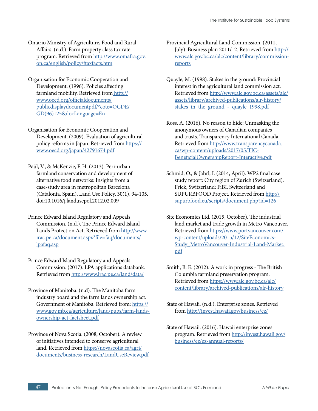Ontario Ministry of Agriculture, Food and Rural Affairs. (n.d.). Farm property class tax rate program. Retrieved from [http://www.omafra.gov.](http://www.omafra.gov.on.ca/english/policy/ftaxfacts.htm) [on.ca/english/policy/ftaxfacts.htm](http://www.omafra.gov.on.ca/english/policy/ftaxfacts.htm)

Organisation for Economic Cooperation and Development. (1996). Policies affecting farmland mobility. Retrieved fro[m http://]( http://www.oecd.org/officialdocuments/publicdisplaydocumentpdf/?cote=OCDE/GD(96)125&docLanguage=En) [www.oecd.org/officialdocuments/]( http://www.oecd.org/officialdocuments/publicdisplaydocumentpdf/?cote=OCDE/GD(96)125&docLanguage=En) [publicdisplaydocumentpdf/?cote=OCDE/]( http://www.oecd.org/officialdocuments/publicdisplaydocumentpdf/?cote=OCDE/GD(96)125&docLanguage=En) [GD\(96\)125&docLanguage=En]( http://www.oecd.org/officialdocuments/publicdisplaydocumentpdf/?cote=OCDE/GD(96)125&docLanguage=En)

Organisation for Economic Cooperation and Development. (2009). Evaluation of agricultural policy reforms in Japan. Retrieved from [https://](https://www.oecd.org/japan/42791674.pdf) [www.oecd.org/japan/42791674.pdf](https://www.oecd.org/japan/42791674.pdf)

Paül, V., & McKenzie, F. H. (2013). Peri-urban farmland conservation and development of alternative food networks: Insights from a case-study area in metropolitan Barcelona (Catalonia, Spain). Land Use Policy, 30(1), 94-105. doi:10.1016/j.landusepol.2012.02.009

Prince Edward Island Regulatory and Appeals Commission. (n.d.). The Prince Edward Island Lands Protection Act. Retrieved from [http://www.](http://www.irac.pe.ca/document.aspx?file=faq/documents/lpafaq.asp) [irac.pe.ca/document.aspx?file=faq/documents/](http://www.irac.pe.ca/document.aspx?file=faq/documents/lpafaq.asp) [lpafaq.asp](http://www.irac.pe.ca/document.aspx?file=faq/documents/lpafaq.asp)

Prince Edward Island Regulatory and Appeals Commission. (2017). LPA applications databank. Retrieved from<http://www.irac.pe.ca/land/data/>

Province of Manitoba. (n.d). The Manitoba farm industry board and the farm lands ownership act. Government of Manitoba. Retrieved from: [https://](https://www.gov.mb.ca/agriculture/land/pubs/farm-lands-ownership-act-factsheet.pdf) [www.gov.mb.ca/agriculture/land/pubs/farm-lands](https://www.gov.mb.ca/agriculture/land/pubs/farm-lands-ownership-act-factsheet.pdf)[ownership-act-factsheet.pdf](https://www.gov.mb.ca/agriculture/land/pubs/farm-lands-ownership-act-factsheet.pdf)

Province of Nova Scotia. (2008, October). A review of initiatives intended to conserve agricultural land. Retrieved from [https://novascotia.ca/agri/](https://novascotia.ca/agri/documents/business-research/LandUseReview.pdf) [documents/business-research/LandUseReview.pdf](https://novascotia.ca/agri/documents/business-research/LandUseReview.pdf) Provincial Agricultural Land Commission. (2011, July). Business plan 2011/12. Retrieved from [http://](http://www.alc.gov.bc.ca/alc/content/library/commission-reports) [www.alc.gov.bc.ca/alc/content/library/commission](http://www.alc.gov.bc.ca/alc/content/library/commission-reports)[reports](http://www.alc.gov.bc.ca/alc/content/library/commission-reports)

Quayle, M. (1998). Stakes in the ground: Provincial interest in the agricultural land commission act. Retrieved from [http://www.alc.gov.bc.ca/assets/alc/](http://www.alc.gov.bc.ca/assets/alc/assets/library/archived-publications/alr-history/stakes_in_the_ground_-_quayle_1998.pdf) [assets/library/archived-publications/alr-history/](http://www.alc.gov.bc.ca/assets/alc/assets/library/archived-publications/alr-history/stakes_in_the_ground_-_quayle_1998.pdf) [stakes\\_in\\_the\\_ground\\_-\\_quayle\\_1998.pdf](http://www.alc.gov.bc.ca/assets/alc/assets/library/archived-publications/alr-history/stakes_in_the_ground_-_quayle_1998.pdf)

Ross, A. (2016). No reason to hide: Unmasking the anonymous owners of Canadian companies and trusts. Transparency International Canada. Retrieved from [http://www.transparencycanada.](http://www.transparencycanada.ca/wp-content/uploads/2017/05/TIC-BeneficialOwnershipReport-Interactive.pdf) [ca/wp-content/uploads/2017/05/TIC-](http://www.transparencycanada.ca/wp-content/uploads/2017/05/TIC-BeneficialOwnershipReport-Interactive.pdf)[BeneficialOwnershipReport-Interactive.pdf](http://www.transparencycanada.ca/wp-content/uploads/2017/05/TIC-BeneficialOwnershipReport-Interactive.pdf)

Schmid, O., & Jahrl, I. (2014, April). WP2 final case study report: City region of Zurich (Switzerland). Frick, Switzerland: FiBL Switzerland and SUPURBFOOD Project. Retrieved from [http://](http://supurbfood.eu/scripts/document.php?id=126) [supurbfood.eu/scripts/document.php?id=126](http://supurbfood.eu/scripts/document.php?id=126)

Site Economics Ltd. (2015, October). The industrial land market and trade growth in Metro Vancouver. Retrieved from [https://www.portvancouver.com/](https://www.portvancouver.com/wp-content/uploads/2015/12/SiteEconomics-Study_MetroVancouver-Industrial-Land-Market.pdf) [wp-content/uploads/2015/12/SiteEconomics-](https://www.portvancouver.com/wp-content/uploads/2015/12/SiteEconomics-Study_MetroVancouver-Industrial-Land-Market.pdf)[Study\\_MetroVancouver-Industrial-Land-Market.](https://www.portvancouver.com/wp-content/uploads/2015/12/SiteEconomics-Study_MetroVancouver-Industrial-Land-Market.pdf) [pdf](https://www.portvancouver.com/wp-content/uploads/2015/12/SiteEconomics-Study_MetroVancouver-Industrial-Land-Market.pdf)

Smith, B. E. (2012). A work in progress - The British Columbia farmland preservation program. Retrieved from [https://www.alc.gov.bc.ca/alc/](https://www.alc.gov.bc.ca/alc/content/library/archived-publications/alr-history) [content/library/archived-publications/alr-history](https://www.alc.gov.bc.ca/alc/content/library/archived-publications/alr-history)

State of Hawaii. (n.d.). Enterprise zones. Retrieved from<http://invest.hawaii.gov/business/ez/>

State of Hawaii. (2016). Hawaii enterprise zones program. Retrieved from [http://invest.hawaii.gov/](http://invest.hawaii.gov/business/ez/ez-annual-reports/) [business/ez/ez-annual-reports/](http://invest.hawaii.gov/business/ez/ez-annual-reports/)